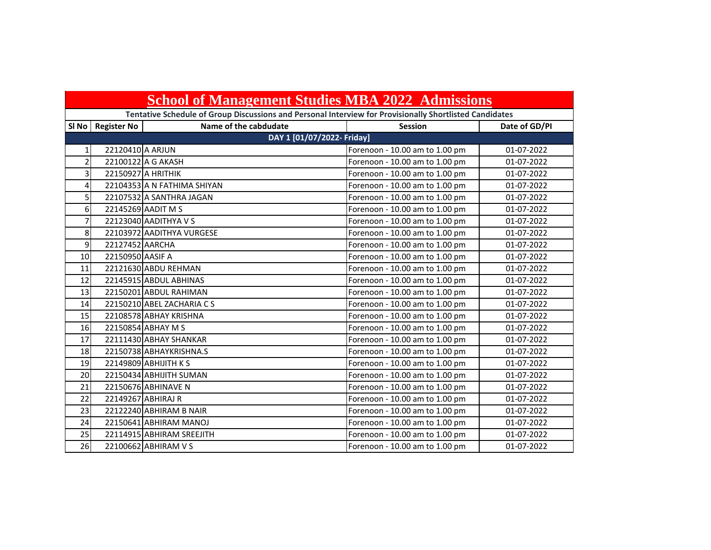|                | <b>School of Management Studies MBA 2022 Admissions</b> |                                                                                                         |                                |               |
|----------------|---------------------------------------------------------|---------------------------------------------------------------------------------------------------------|--------------------------------|---------------|
|                |                                                         | Tentative Schedule of Group Discussions and Personal Interview for Provisionally Shortlisted Candidates |                                |               |
| SI No          | <b>Register No</b>                                      | Name of the cabdudate                                                                                   | <b>Session</b>                 | Date of GD/PI |
|                |                                                         | DAY 1 [01/07/2022- Friday]                                                                              |                                |               |
| $\mathbf{1}$   | 22120410 A ARJUN                                        |                                                                                                         | Forenoon - 10.00 am to 1.00 pm | 01-07-2022    |
| $\overline{2}$ |                                                         | 22100122 A G AKASH                                                                                      | Forenoon - 10.00 am to 1.00 pm | 01-07-2022    |
| 3              |                                                         | 22150927 A HRITHIK                                                                                      | Forenoon - 10.00 am to 1.00 pm | 01-07-2022    |
| 4              |                                                         | 22104353 A N FATHIMA SHIYAN                                                                             | Forenoon - 10.00 am to 1.00 pm | 01-07-2022    |
| 5              |                                                         | 22107532 A SANTHRA JAGAN                                                                                | Forenoon - 10.00 am to 1.00 pm | 01-07-2022    |
| 6              |                                                         | 22145269 AADIT M S                                                                                      | Forenoon - 10.00 am to 1.00 pm | 01-07-2022    |
| 7              |                                                         | 22123040 AADITHYA V S                                                                                   | Forenoon - 10.00 am to 1.00 pm | 01-07-2022    |
| 8              |                                                         | 22103972 AADITHYA VURGESE                                                                               | Forenoon - 10.00 am to 1.00 pm | 01-07-2022    |
| 9              | 22127452 AARCHA                                         |                                                                                                         | Forenoon - 10.00 am to 1.00 pm | 01-07-2022    |
| 10             | 22150950 AASIF A                                        |                                                                                                         | Forenoon - 10.00 am to 1.00 pm | 01-07-2022    |
| 11             |                                                         | 22121630 ABDU REHMAN                                                                                    | Forenoon - 10.00 am to 1.00 pm | 01-07-2022    |
| 12             |                                                         | 22145915 ABDUL ABHINAS                                                                                  | Forenoon - 10.00 am to 1.00 pm | 01-07-2022    |
| 13             |                                                         | 22150201 ABDUL RAHIMAN                                                                                  | Forenoon - 10.00 am to 1.00 pm | 01-07-2022    |
| 14             |                                                         | 22150210 ABEL ZACHARIA CS                                                                               | Forenoon - 10.00 am to 1.00 pm | 01-07-2022    |
| 15             |                                                         | 22108578 ABHAY KRISHNA                                                                                  | Forenoon - 10.00 am to 1.00 pm | 01-07-2022    |
| 16             |                                                         | 22150854 ABHAY M S                                                                                      | Forenoon - 10.00 am to 1.00 pm | 01-07-2022    |
| 17             |                                                         | 22111430 ABHAY SHANKAR                                                                                  | Forenoon - 10.00 am to 1.00 pm | 01-07-2022    |
| 18             |                                                         | 22150738 ABHAYKRISHNA.S                                                                                 | Forenoon - 10.00 am to 1.00 pm | 01-07-2022    |
| 19             |                                                         | 22149809 ABHIJITH K S                                                                                   | Forenoon - 10.00 am to 1.00 pm | 01-07-2022    |
| 20             |                                                         | 22150434 ABHIJITH SUMAN                                                                                 | Forenoon - 10.00 am to 1.00 pm | 01-07-2022    |
| 21             |                                                         | 22150676 ABHINAVE N                                                                                     | Forenoon - 10.00 am to 1.00 pm | 01-07-2022    |
| 22             |                                                         | 22149267 ABHIRAJ R                                                                                      | Forenoon - 10.00 am to 1.00 pm | 01-07-2022    |
| 23             |                                                         | 22122240 ABHIRAM B NAIR                                                                                 | Forenoon - 10.00 am to 1.00 pm | 01-07-2022    |
| 24             |                                                         | 22150641 ABHIRAM MANOJ                                                                                  | Forenoon - 10.00 am to 1.00 pm | 01-07-2022    |
| 25             |                                                         | 22114915 ABHIRAM SREEJITH                                                                               | Forenoon - 10.00 am to 1.00 pm | 01-07-2022    |
| 26             |                                                         | 22100662 ABHIRAM V S                                                                                    | Forenoon - 10.00 am to 1.00 pm | 01-07-2022    |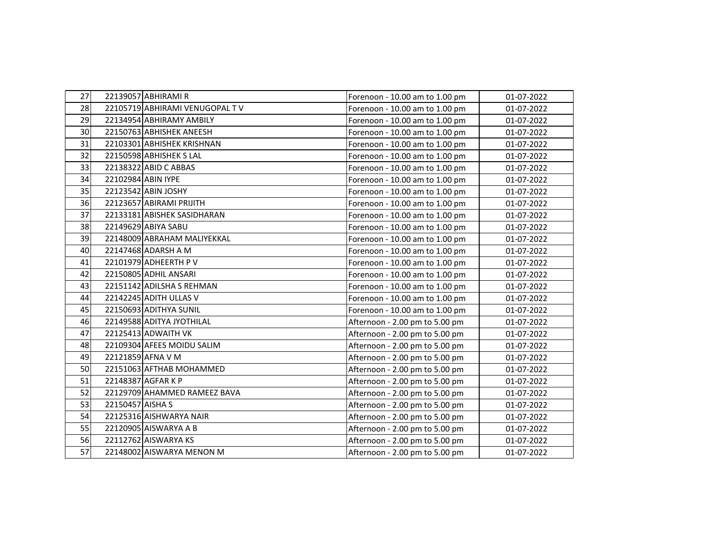| 27 |                  | 22139057 ABHIRAMI R            | Forenoon - 10.00 am to 1.00 pm | 01-07-2022 |
|----|------------------|--------------------------------|--------------------------------|------------|
| 28 |                  | 22105719 ABHIRAMI VENUGOPAL TV | Forenoon - 10.00 am to 1.00 pm | 01-07-2022 |
| 29 |                  | 22134954 ABHIRAMY AMBILY       | Forenoon - 10.00 am to 1.00 pm | 01-07-2022 |
| 30 |                  | 22150763 ABHISHEK ANEESH       | Forenoon - 10.00 am to 1.00 pm | 01-07-2022 |
| 31 |                  | 22103301 ABHISHEK KRISHNAN     | Forenoon - 10.00 am to 1.00 pm | 01-07-2022 |
| 32 |                  | 22150598 ABHISHEK S LAL        | Forenoon - 10.00 am to 1.00 pm | 01-07-2022 |
| 33 |                  | 22138322 ABID C ABBAS          | Forenoon - 10.00 am to 1.00 pm | 01-07-2022 |
| 34 |                  | 22102984 ABIN IYPE             | Forenoon - 10.00 am to 1.00 pm | 01-07-2022 |
| 35 |                  | 22123542 ABIN JOSHY            | Forenoon - 10.00 am to 1.00 pm | 01-07-2022 |
| 36 |                  | 22123657 ABIRAMI PRIJITH       | Forenoon - 10.00 am to 1.00 pm | 01-07-2022 |
| 37 |                  | 22133181 ABISHEK SASIDHARAN    | Forenoon - 10.00 am to 1.00 pm | 01-07-2022 |
| 38 |                  | 22149629 ABIYA SABU            | Forenoon - 10.00 am to 1.00 pm | 01-07-2022 |
| 39 |                  | 22148009 ABRAHAM MALIYEKKAL    | Forenoon - 10.00 am to 1.00 pm | 01-07-2022 |
| 40 |                  | 22147468 ADARSH A M            | Forenoon - 10.00 am to 1.00 pm | 01-07-2022 |
| 41 |                  | 22101979 ADHEERTH P V          | Forenoon - 10.00 am to 1.00 pm | 01-07-2022 |
| 42 |                  | 22150805 ADHIL ANSARI          | Forenoon - 10.00 am to 1.00 pm | 01-07-2022 |
| 43 |                  | 22151142 ADILSHA S REHMAN      | Forenoon - 10.00 am to 1.00 pm | 01-07-2022 |
| 44 |                  | 22142245 ADITH ULLAS V         | Forenoon - 10.00 am to 1.00 pm | 01-07-2022 |
| 45 |                  | 22150693 ADITHYA SUNIL         | Forenoon - 10.00 am to 1.00 pm | 01-07-2022 |
| 46 |                  | 22149588 ADITYA JYOTHILAL      | Afternoon - 2.00 pm to 5.00 pm | 01-07-2022 |
| 47 |                  | 22125413 ADWAITH VK            | Afternoon - 2.00 pm to 5.00 pm | 01-07-2022 |
| 48 |                  | 22109304 AFEES MOIDU SALIM     | Afternoon - 2.00 pm to 5.00 pm | 01-07-2022 |
| 49 |                  | 22121859 AFNA V M              | Afternoon - 2.00 pm to 5.00 pm | 01-07-2022 |
| 50 |                  | 22151063 AFTHAB MOHAMMED       | Afternoon - 2.00 pm to 5.00 pm | 01-07-2022 |
| 51 |                  | 22148387 AGFAR K P             | Afternoon - 2.00 pm to 5.00 pm | 01-07-2022 |
| 52 |                  | 22129709 AHAMMED RAMEEZ BAVA   | Afternoon - 2.00 pm to 5.00 pm | 01-07-2022 |
| 53 | 22150457 AISHA S |                                | Afternoon - 2.00 pm to 5.00 pm | 01-07-2022 |
| 54 |                  | 22125316 AISHWARYA NAIR        | Afternoon - 2.00 pm to 5.00 pm | 01-07-2022 |
| 55 |                  | 22120905 AISWARYA A B          | Afternoon - 2.00 pm to 5.00 pm | 01-07-2022 |
| 56 |                  | 22112762 AISWARYA KS           | Afternoon - 2.00 pm to 5.00 pm | 01-07-2022 |
| 57 |                  | 22148002 AISWARYA MENON M      | Afternoon - 2.00 pm to 5.00 pm | 01-07-2022 |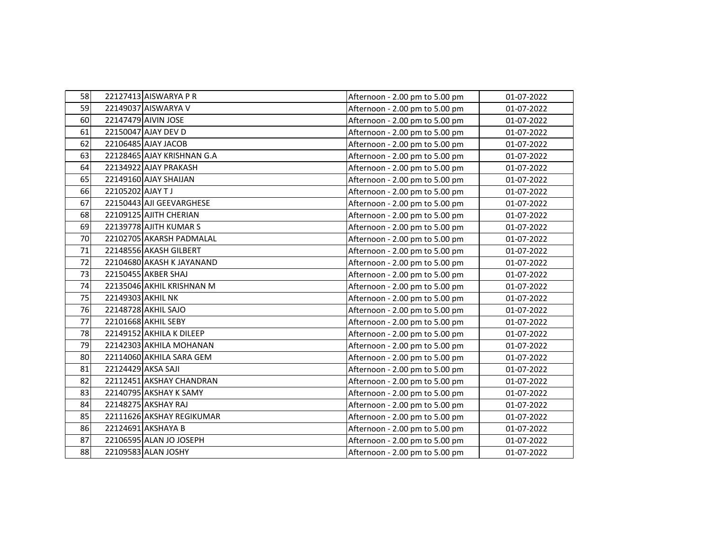| 58 |                  | 22127413 AISWARYA P R      | Afternoon - 2.00 pm to 5.00 pm | 01-07-2022 |
|----|------------------|----------------------------|--------------------------------|------------|
| 59 |                  | 22149037 AISWARYA V        | Afternoon - 2.00 pm to 5.00 pm | 01-07-2022 |
| 60 |                  | 22147479 AIVIN JOSE        | Afternoon - 2.00 pm to 5.00 pm | 01-07-2022 |
| 61 |                  | 22150047 AJAY DEV D        | Afternoon - 2.00 pm to 5.00 pm | 01-07-2022 |
| 62 |                  | 22106485 AJAY JACOB        | Afternoon - 2.00 pm to 5.00 pm | 01-07-2022 |
| 63 |                  | 22128465 AJAY KRISHNAN G.A | Afternoon - 2.00 pm to 5.00 pm | 01-07-2022 |
| 64 |                  | 22134922 AJAY PRAKASH      | Afternoon - 2.00 pm to 5.00 pm | 01-07-2022 |
| 65 |                  | 22149160 AJAY SHAIJAN      | Afternoon - 2.00 pm to 5.00 pm | 01-07-2022 |
| 66 | 22105202 AJAY TJ |                            | Afternoon - 2.00 pm to 5.00 pm | 01-07-2022 |
| 67 |                  | 22150443 AJI GEEVARGHESE   | Afternoon - 2.00 pm to 5.00 pm | 01-07-2022 |
| 68 |                  | 22109125 AJITH CHERIAN     | Afternoon - 2.00 pm to 5.00 pm | 01-07-2022 |
| 69 |                  | 22139778 AJITH KUMAR S     | Afternoon - 2.00 pm to 5.00 pm | 01-07-2022 |
| 70 |                  | 22102705 AKARSH PADMALAL   | Afternoon - 2.00 pm to 5.00 pm | 01-07-2022 |
| 71 |                  | 22148556 AKASH GILBERT     | Afternoon - 2.00 pm to 5.00 pm | 01-07-2022 |
| 72 |                  | 22104680 AKASH K JAYANAND  | Afternoon - 2.00 pm to 5.00 pm | 01-07-2022 |
| 73 |                  | 22150455 AKBER SHAJ        | Afternoon - 2.00 pm to 5.00 pm | 01-07-2022 |
| 74 |                  | 22135046 AKHIL KRISHNAN M  | Afternoon - 2.00 pm to 5.00 pm | 01-07-2022 |
| 75 |                  | 22149303 AKHIL NK          | Afternoon - 2.00 pm to 5.00 pm | 01-07-2022 |
| 76 |                  | 22148728 AKHIL SAJO        | Afternoon - 2.00 pm to 5.00 pm | 01-07-2022 |
| 77 |                  | 22101668 AKHIL SEBY        | Afternoon - 2.00 pm to 5.00 pm | 01-07-2022 |
| 78 |                  | 22149152 AKHILA K DILEEP   | Afternoon - 2.00 pm to 5.00 pm | 01-07-2022 |
| 79 |                  | 22142303 AKHILA MOHANAN    | Afternoon - 2.00 pm to 5.00 pm | 01-07-2022 |
| 80 |                  | 22114060 AKHILA SARA GEM   | Afternoon - 2.00 pm to 5.00 pm | 01-07-2022 |
| 81 |                  | 22124429 AKSA SAJI         | Afternoon - 2.00 pm to 5.00 pm | 01-07-2022 |
| 82 |                  | 22112451 AKSHAY CHANDRAN   | Afternoon - 2.00 pm to 5.00 pm | 01-07-2022 |
| 83 |                  | 22140795 AKSHAY K SAMY     | Afternoon - 2.00 pm to 5.00 pm | 01-07-2022 |
| 84 |                  | 22148275 AKSHAY RAJ        | Afternoon - 2.00 pm to 5.00 pm | 01-07-2022 |
| 85 |                  | 22111626 AKSHAY REGIKUMAR  | Afternoon - 2.00 pm to 5.00 pm | 01-07-2022 |
| 86 |                  | 22124691 AKSHAYA B         | Afternoon - 2.00 pm to 5.00 pm | 01-07-2022 |
| 87 |                  | 22106595 ALAN JO JOSEPH    | Afternoon - 2.00 pm to 5.00 pm | 01-07-2022 |
| 88 |                  | 22109583 ALAN JOSHY        | Afternoon - 2.00 pm to 5.00 pm | 01-07-2022 |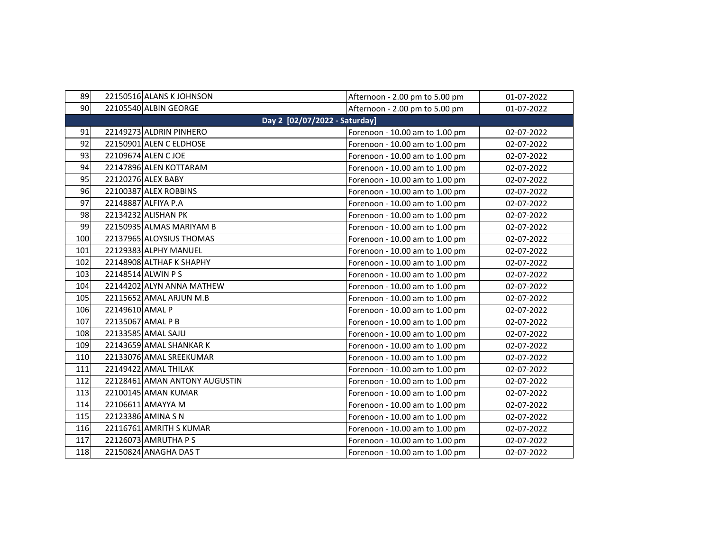| 89  |                 | 22150516 ALANS K JOHNSON      | Afternoon - 2.00 pm to 5.00 pm | 01-07-2022 |
|-----|-----------------|-------------------------------|--------------------------------|------------|
| 90  |                 | 22105540 ALBIN GEORGE         | Afternoon - 2.00 pm to 5.00 pm | 01-07-2022 |
|     |                 | Day 2 [02/07/2022 - Saturday] |                                |            |
| 91  |                 | 22149273 ALDRIN PINHERO       | Forenoon - 10.00 am to 1.00 pm | 02-07-2022 |
| 92  |                 | 22150901 ALEN C ELDHOSE       | Forenoon - 10.00 am to 1.00 pm | 02-07-2022 |
| 93  |                 | 22109674 ALEN CJOE            | Forenoon - 10.00 am to 1.00 pm | 02-07-2022 |
| 94  |                 | 22147896 ALEN KOTTARAM        | Forenoon - 10.00 am to 1.00 pm | 02-07-2022 |
| 95  |                 | 22120276 ALEX BABY            | Forenoon - 10.00 am to 1.00 pm | 02-07-2022 |
| 96  |                 | 22100387 ALEX ROBBINS         | Forenoon - 10.00 am to 1.00 pm | 02-07-2022 |
| 97  |                 | 22148887 ALFIYA P.A           | Forenoon - 10.00 am to 1.00 pm | 02-07-2022 |
| 98  |                 | 22134232 ALISHAN PK           | Forenoon - 10.00 am to 1.00 pm | 02-07-2022 |
| 99  |                 | 22150935 ALMAS MARIYAM B      | Forenoon - 10.00 am to 1.00 pm | 02-07-2022 |
| 100 |                 | 22137965 ALOYSIUS THOMAS      | Forenoon - 10.00 am to 1.00 pm | 02-07-2022 |
| 101 |                 | 22129383 ALPHY MANUEL         | Forenoon - 10.00 am to 1.00 pm | 02-07-2022 |
| 102 |                 | 22148908 ALTHAF K SHAPHY      | Forenoon - 10.00 am to 1.00 pm | 02-07-2022 |
| 103 |                 | 22148514 ALWIN PS             | Forenoon - 10.00 am to 1.00 pm | 02-07-2022 |
| 104 |                 | 22144202 ALYN ANNA MATHEW     | Forenoon - 10.00 am to 1.00 pm | 02-07-2022 |
| 105 |                 | 22115652 AMAL ARJUN M.B       | Forenoon - 10.00 am to 1.00 pm | 02-07-2022 |
| 106 | 22149610 AMAL P |                               | Forenoon - 10.00 am to 1.00 pm | 02-07-2022 |
| 107 |                 | 22135067 AMAL P B             | Forenoon - 10.00 am to 1.00 pm | 02-07-2022 |
| 108 |                 | 22133585 AMAL SAJU            | Forenoon - 10.00 am to 1.00 pm | 02-07-2022 |
| 109 |                 | 22143659 AMAL SHANKAR K       | Forenoon - 10.00 am to 1.00 pm | 02-07-2022 |
| 110 |                 | 22133076 AMAL SREEKUMAR       | Forenoon - 10.00 am to 1.00 pm | 02-07-2022 |
| 111 |                 | 22149422 AMAL THILAK          | Forenoon - 10.00 am to 1.00 pm | 02-07-2022 |
| 112 |                 | 22128461 AMAN ANTONY AUGUSTIN | Forenoon - 10.00 am to 1.00 pm | 02-07-2022 |
| 113 |                 | 22100145 AMAN KUMAR           | Forenoon - 10.00 am to 1.00 pm | 02-07-2022 |
| 114 |                 | 22106611 AMAYYA M             | Forenoon - 10.00 am to 1.00 pm | 02-07-2022 |
| 115 |                 | 22123386 AMINA S N            | Forenoon - 10.00 am to 1.00 pm | 02-07-2022 |
| 116 |                 | 22116761 AMRITH S KUMAR       | Forenoon - 10.00 am to 1.00 pm | 02-07-2022 |
| 117 |                 | 22126073 AMRUTHA P S          | Forenoon - 10.00 am to 1.00 pm | 02-07-2022 |
| 118 |                 | 22150824 ANAGHA DAS T         | Forenoon - 10.00 am to 1.00 pm | 02-07-2022 |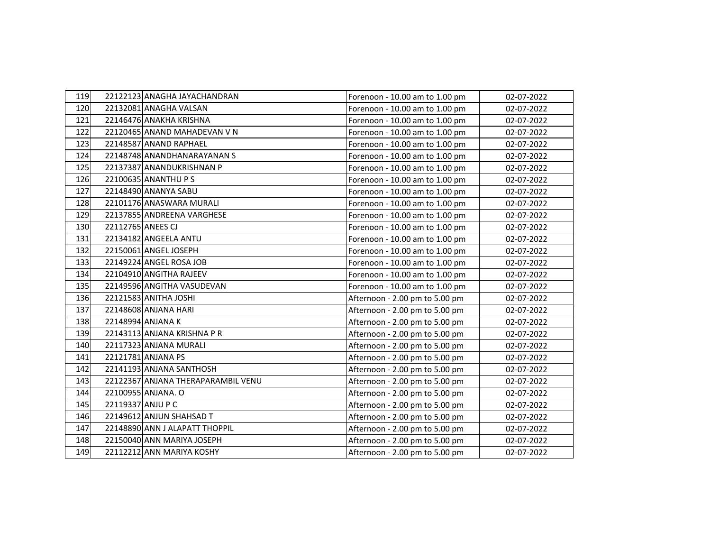| 119 | 22122123 ANAGHA JAYACHANDRAN       | Forenoon - 10.00 am to 1.00 pm | 02-07-2022 |
|-----|------------------------------------|--------------------------------|------------|
| 120 | 22132081 ANAGHA VALSAN             | Forenoon - 10.00 am to 1.00 pm | 02-07-2022 |
| 121 | 22146476 ANAKHA KRISHNA            | Forenoon - 10.00 am to 1.00 pm | 02-07-2022 |
| 122 | 22120465 ANAND MAHADEVAN V N       | Forenoon - 10.00 am to 1.00 pm | 02-07-2022 |
| 123 | 22148587 ANAND RAPHAEL             | Forenoon - 10.00 am to 1.00 pm | 02-07-2022 |
| 124 | 22148748 ANANDHANARAYANAN S        | Forenoon - 10.00 am to 1.00 pm | 02-07-2022 |
| 125 | 22137387 ANANDUKRISHNAN P          | Forenoon - 10.00 am to 1.00 pm | 02-07-2022 |
| 126 | 22100635 ANANTHU P S               | Forenoon - 10.00 am to 1.00 pm | 02-07-2022 |
| 127 | 22148490 ANANYA SABU               | Forenoon - 10.00 am to 1.00 pm | 02-07-2022 |
| 128 | 22101176 ANASWARA MURALI           | Forenoon - 10.00 am to 1.00 pm | 02-07-2022 |
| 129 | 22137855 ANDREENA VARGHESE         | Forenoon - 10.00 am to 1.00 pm | 02-07-2022 |
| 130 | 22112765 ANEES CJ                  | Forenoon - 10.00 am to 1.00 pm | 02-07-2022 |
| 131 | 22134182 ANGEELA ANTU              | Forenoon - 10.00 am to 1.00 pm | 02-07-2022 |
| 132 | 22150061 ANGEL JOSEPH              | Forenoon - 10.00 am to 1.00 pm | 02-07-2022 |
| 133 | 22149224 ANGEL ROSA JOB            | Forenoon - 10.00 am to 1.00 pm | 02-07-2022 |
| 134 | 22104910 ANGITHA RAJEEV            | Forenoon - 10.00 am to 1.00 pm | 02-07-2022 |
| 135 | 22149596 ANGITHA VASUDEVAN         | Forenoon - 10.00 am to 1.00 pm | 02-07-2022 |
| 136 | 22121583 ANITHA JOSHI              | Afternoon - 2.00 pm to 5.00 pm | 02-07-2022 |
| 137 | 22148608 ANJANA HARI               | Afternoon - 2.00 pm to 5.00 pm | 02-07-2022 |
| 138 | 22148994 ANJANA K                  | Afternoon - 2.00 pm to 5.00 pm | 02-07-2022 |
| 139 | 22143113 ANJANA KRISHNA PR         | Afternoon - 2.00 pm to 5.00 pm | 02-07-2022 |
| 140 | 22117323 ANJANA MURALI             | Afternoon - 2.00 pm to 5.00 pm | 02-07-2022 |
| 141 | 22121781 ANJANA PS                 | Afternoon - 2.00 pm to 5.00 pm | 02-07-2022 |
| 142 | 22141193 ANJANA SANTHOSH           | Afternoon - 2.00 pm to 5.00 pm | 02-07-2022 |
| 143 | 22122367 ANJANA THERAPARAMBIL VENU | Afternoon - 2.00 pm to 5.00 pm | 02-07-2022 |
| 144 | 22100955 ANJANA. O                 | Afternoon - 2.00 pm to 5.00 pm | 02-07-2022 |
| 145 | 22119337 ANJU P C                  | Afternoon - 2.00 pm to 5.00 pm | 02-07-2022 |
| 146 | 22149612 ANJUN SHAHSAD T           | Afternoon - 2.00 pm to 5.00 pm | 02-07-2022 |
| 147 | 22148890 ANN J ALAPATT THOPPIL     | Afternoon - 2.00 pm to 5.00 pm | 02-07-2022 |
| 148 | 22150040 ANN MARIYA JOSEPH         | Afternoon - 2.00 pm to 5.00 pm | 02-07-2022 |
| 149 | 22112212 ANN MARIYA KOSHY          | Afternoon - 2.00 pm to 5.00 pm | 02-07-2022 |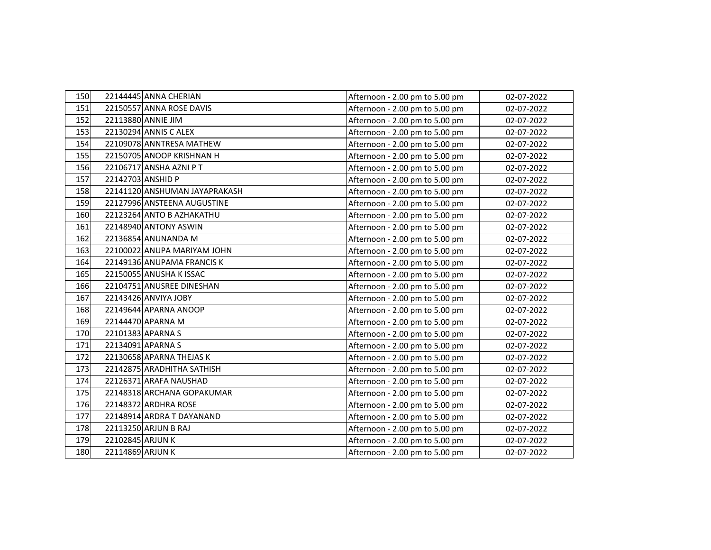| 150 |                  | 22144445 ANNA CHERIAN         | Afternoon - 2.00 pm to 5.00 pm | 02-07-2022 |
|-----|------------------|-------------------------------|--------------------------------|------------|
| 151 |                  | 22150557 ANNA ROSE DAVIS      | Afternoon - 2.00 pm to 5.00 pm | 02-07-2022 |
| 152 |                  | 22113880 ANNIE JIM            | Afternoon - 2.00 pm to 5.00 pm | 02-07-2022 |
| 153 |                  | 22130294 ANNIS C ALEX         | Afternoon - 2.00 pm to 5.00 pm | 02-07-2022 |
| 154 |                  | 22109078 ANNTRESA MATHEW      | Afternoon - 2.00 pm to 5.00 pm | 02-07-2022 |
| 155 |                  | 22150705 ANOOP KRISHNAN H     | Afternoon - 2.00 pm to 5.00 pm | 02-07-2022 |
| 156 |                  | 22106717 ANSHA AZNI P T       | Afternoon - 2.00 pm to 5.00 pm | 02-07-2022 |
| 157 |                  | 22142703 ANSHID P             | Afternoon - 2.00 pm to 5.00 pm | 02-07-2022 |
| 158 |                  | 22141120 ANSHUMAN JAYAPRAKASH | Afternoon - 2.00 pm to 5.00 pm | 02-07-2022 |
| 159 |                  | 22127996 ANSTEENA AUGUSTINE   | Afternoon - 2.00 pm to 5.00 pm | 02-07-2022 |
| 160 |                  | 22123264 ANTO B AZHAKATHU     | Afternoon - 2.00 pm to 5.00 pm | 02-07-2022 |
| 161 |                  | 22148940 ANTONY ASWIN         | Afternoon - 2.00 pm to 5.00 pm | 02-07-2022 |
| 162 |                  | 22136854 ANUNANDA M           | Afternoon - 2.00 pm to 5.00 pm | 02-07-2022 |
| 163 |                  | 22100022 ANUPA MARIYAM JOHN   | Afternoon - 2.00 pm to 5.00 pm | 02-07-2022 |
| 164 |                  | 22149136 ANUPAMA FRANCIS K    | Afternoon - 2.00 pm to 5.00 pm | 02-07-2022 |
| 165 |                  | 22150055 ANUSHA K ISSAC       | Afternoon - 2.00 pm to 5.00 pm | 02-07-2022 |
| 166 |                  | 22104751 ANUSREE DINESHAN     | Afternoon - 2.00 pm to 5.00 pm | 02-07-2022 |
| 167 |                  | 22143426 ANVIYA JOBY          | Afternoon - 2.00 pm to 5.00 pm | 02-07-2022 |
| 168 |                  | 22149644 APARNA ANOOP         | Afternoon - 2.00 pm to 5.00 pm | 02-07-2022 |
| 169 |                  | 22144470 APARNA M             | Afternoon - 2.00 pm to 5.00 pm | 02-07-2022 |
| 170 |                  | 22101383 APARNA S             | Afternoon - 2.00 pm to 5.00 pm | 02-07-2022 |
| 171 |                  | 22134091 APARNA S             | Afternoon - 2.00 pm to 5.00 pm | 02-07-2022 |
| 172 |                  | 22130658 APARNA THEJAS K      | Afternoon - 2.00 pm to 5.00 pm | 02-07-2022 |
| 173 |                  | 22142875 ARADHITHA SATHISH    | Afternoon - 2.00 pm to 5.00 pm | 02-07-2022 |
| 174 |                  | 22126371 ARAFA NAUSHAD        | Afternoon - 2.00 pm to 5.00 pm | 02-07-2022 |
| 175 |                  | 22148318 ARCHANA GOPAKUMAR    | Afternoon - 2.00 pm to 5.00 pm | 02-07-2022 |
| 176 |                  | 22148372 ARDHRA ROSE          | Afternoon - 2.00 pm to 5.00 pm | 02-07-2022 |
| 177 |                  | 22148914 ARDRA T DAYANAND     | Afternoon - 2.00 pm to 5.00 pm | 02-07-2022 |
| 178 |                  | 22113250 ARJUN B RAJ          | Afternoon - 2.00 pm to 5.00 pm | 02-07-2022 |
| 179 | 22102845 ARJUN K |                               | Afternoon - 2.00 pm to 5.00 pm | 02-07-2022 |
| 180 | 22114869 ARJUN K |                               | Afternoon - 2.00 pm to 5.00 pm | 02-07-2022 |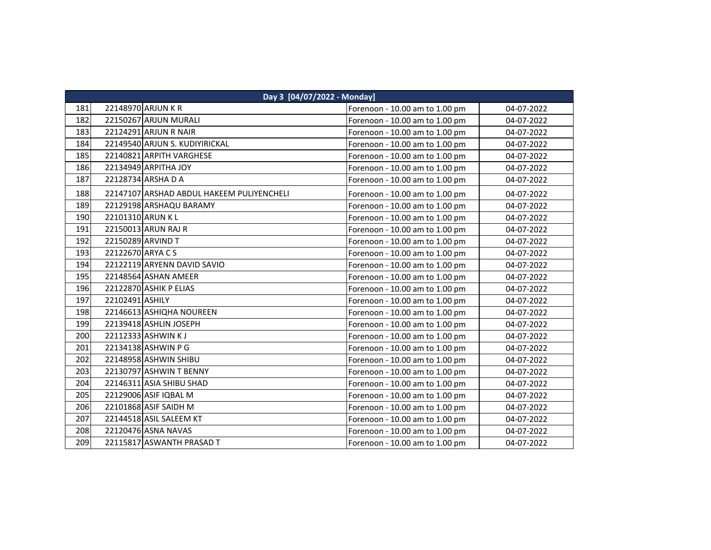|     | Day 3 [04/07/2022 - Monday]               |                                |            |  |  |
|-----|-------------------------------------------|--------------------------------|------------|--|--|
| 181 | 22148970 ARJUN K R                        | Forenoon - 10.00 am to 1.00 pm | 04-07-2022 |  |  |
| 182 | 22150267 ARJUN MURALI                     | Forenoon - 10.00 am to 1.00 pm | 04-07-2022 |  |  |
| 183 | 22124291 ARJUN R NAIR                     | Forenoon - 10.00 am to 1.00 pm | 04-07-2022 |  |  |
| 184 | 22149540 ARJUN S. KUDIYIRICKAL            | Forenoon - 10.00 am to 1.00 pm | 04-07-2022 |  |  |
| 185 | 22140821 ARPITH VARGHESE                  | Forenoon - 10.00 am to 1.00 pm | 04-07-2022 |  |  |
| 186 | 22134949 ARPITHA JOY                      | Forenoon - 10.00 am to 1.00 pm | 04-07-2022 |  |  |
| 187 | 22128734 ARSHA D A                        | Forenoon - 10.00 am to 1.00 pm | 04-07-2022 |  |  |
| 188 | 22147107 ARSHAD ABDUL HAKEEM PULIYENCHELI | Forenoon - 10.00 am to 1.00 pm | 04-07-2022 |  |  |
| 189 | 22129198 ARSHAQU BARAMY                   | Forenoon - 10.00 am to 1.00 pm | 04-07-2022 |  |  |
| 190 | 22101310 ARUN KL                          | Forenoon - 10.00 am to 1.00 pm | 04-07-2022 |  |  |
| 191 | 22150013 ARUN RAJ R                       | Forenoon - 10.00 am to 1.00 pm | 04-07-2022 |  |  |
| 192 | 22150289 ARVIND T                         | Forenoon - 10.00 am to 1.00 pm | 04-07-2022 |  |  |
| 193 | 22122670 ARYA C S                         | Forenoon - 10.00 am to 1.00 pm | 04-07-2022 |  |  |
| 194 | 22122119 ARYENN DAVID SAVIO               | Forenoon - 10.00 am to 1.00 pm | 04-07-2022 |  |  |
| 195 | 22148564 ASHAN AMEER                      | Forenoon - 10.00 am to 1.00 pm | 04-07-2022 |  |  |
| 196 | 22122870 ASHIK P ELIAS                    | Forenoon - 10.00 am to 1.00 pm | 04-07-2022 |  |  |
| 197 | 22102491 ASHILY                           | Forenoon - 10.00 am to 1.00 pm | 04-07-2022 |  |  |
| 198 | 22146613 ASHIQHA NOUREEN                  | Forenoon - 10.00 am to 1.00 pm | 04-07-2022 |  |  |
| 199 | 22139418 ASHLIN JOSEPH                    | Forenoon - 10.00 am to 1.00 pm | 04-07-2022 |  |  |
| 200 | 22112333 ASHWIN KJ                        | Forenoon - 10.00 am to 1.00 pm | 04-07-2022 |  |  |
| 201 | 22134138 ASHWIN P G                       | Forenoon - 10.00 am to 1.00 pm | 04-07-2022 |  |  |
| 202 | 22148958 ASHWIN SHIBU                     | Forenoon - 10.00 am to 1.00 pm | 04-07-2022 |  |  |
| 203 | 22130797 ASHWIN T BENNY                   | Forenoon - 10.00 am to 1.00 pm | 04-07-2022 |  |  |
| 204 | 22146311 ASIA SHIBU SHAD                  | Forenoon - 10.00 am to 1.00 pm | 04-07-2022 |  |  |
| 205 | 22129006 ASIF IQBAL M                     | Forenoon - 10.00 am to 1.00 pm | 04-07-2022 |  |  |
| 206 | 22101868 ASIF SAIDH M                     | Forenoon - 10.00 am to 1.00 pm | 04-07-2022 |  |  |
| 207 | 22144518 ASIL SALEEM KT                   | Forenoon - 10.00 am to 1.00 pm | 04-07-2022 |  |  |
| 208 | 22120476 ASNA NAVAS                       | Forenoon - 10.00 am to 1.00 pm | 04-07-2022 |  |  |
| 209 | 22115817 ASWANTH PRASAD T                 | Forenoon - 10.00 am to 1.00 pm | 04-07-2022 |  |  |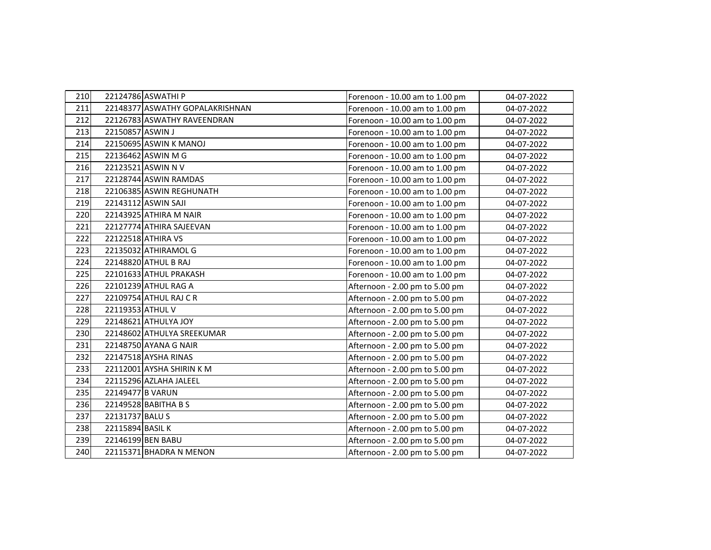| 210 |                  | 22124786 ASWATHI P              | Forenoon - 10.00 am to 1.00 pm | 04-07-2022 |
|-----|------------------|---------------------------------|--------------------------------|------------|
| 211 |                  | 22148377 ASWATHY GOPALAKRISHNAN | Forenoon - 10.00 am to 1.00 pm | 04-07-2022 |
| 212 |                  | 22126783 ASWATHY RAVEENDRAN     | Forenoon - 10.00 am to 1.00 pm | 04-07-2022 |
| 213 | 22150857 ASWIN J |                                 | Forenoon - 10.00 am to 1.00 pm | 04-07-2022 |
| 214 |                  | 22150695 ASWIN K MANOJ          | Forenoon - 10.00 am to 1.00 pm | 04-07-2022 |
| 215 |                  | 22136462 ASWIN M G              | Forenoon - 10.00 am to 1.00 pm | 04-07-2022 |
| 216 |                  | 22123521 ASWIN N V              | Forenoon - 10.00 am to 1.00 pm | 04-07-2022 |
| 217 |                  | 22128744 ASWIN RAMDAS           | Forenoon - 10.00 am to 1.00 pm | 04-07-2022 |
| 218 |                  | 22106385 ASWIN REGHUNATH        | Forenoon - 10.00 am to 1.00 pm | 04-07-2022 |
| 219 |                  | 22143112 ASWIN SAJI             | Forenoon - 10.00 am to 1.00 pm | 04-07-2022 |
| 220 |                  | 22143925 ATHIRA M NAIR          | Forenoon - 10.00 am to 1.00 pm | 04-07-2022 |
| 221 |                  | 22127774 ATHIRA SAJEEVAN        | Forenoon - 10.00 am to 1.00 pm | 04-07-2022 |
| 222 |                  | 22122518 ATHIRA VS              | Forenoon - 10.00 am to 1.00 pm | 04-07-2022 |
| 223 |                  | 22135032 ATHIRAMOL G            | Forenoon - 10.00 am to 1.00 pm | 04-07-2022 |
| 224 |                  | 22148820 ATHUL B RAJ            | Forenoon - 10.00 am to 1.00 pm | 04-07-2022 |
| 225 |                  | 22101633 ATHUL PRAKASH          | Forenoon - 10.00 am to 1.00 pm | 04-07-2022 |
| 226 |                  | 22101239 ATHUL RAG A            | Afternoon - 2.00 pm to 5.00 pm | 04-07-2022 |
| 227 |                  | 22109754 ATHUL RAJ C R          | Afternoon - 2.00 pm to 5.00 pm | 04-07-2022 |
| 228 | 22119353 ATHUL V |                                 | Afternoon - 2.00 pm to 5.00 pm | 04-07-2022 |
| 229 |                  | 22148621 ATHULYA JOY            | Afternoon - 2.00 pm to 5.00 pm | 04-07-2022 |
| 230 |                  | 22148602 ATHULYA SREEKUMAR      | Afternoon - 2.00 pm to 5.00 pm | 04-07-2022 |
| 231 |                  | 22148750 AYANA G NAIR           | Afternoon - 2.00 pm to 5.00 pm | 04-07-2022 |
| 232 |                  | 22147518 AYSHA RINAS            | Afternoon - 2.00 pm to 5.00 pm | 04-07-2022 |
| 233 |                  | 22112001 AYSHA SHIRIN K M       | Afternoon - 2.00 pm to 5.00 pm | 04-07-2022 |
| 234 |                  | 22115296 AZLAHA JALEEL          | Afternoon - 2.00 pm to 5.00 pm | 04-07-2022 |
| 235 | 22149477 B VARUN |                                 | Afternoon - 2.00 pm to 5.00 pm | 04-07-2022 |
| 236 |                  | 22149528 BABITHA B S            | Afternoon - 2.00 pm to 5.00 pm | 04-07-2022 |
| 237 | 22131737 BALU S  |                                 | Afternoon - 2.00 pm to 5.00 pm | 04-07-2022 |
| 238 | 22115894 BASIL K |                                 | Afternoon - 2.00 pm to 5.00 pm | 04-07-2022 |
| 239 |                  | 22146199 BEN BABU               | Afternoon - 2.00 pm to 5.00 pm | 04-07-2022 |
| 240 |                  | 22115371 BHADRA N MENON         | Afternoon - 2.00 pm to 5.00 pm | 04-07-2022 |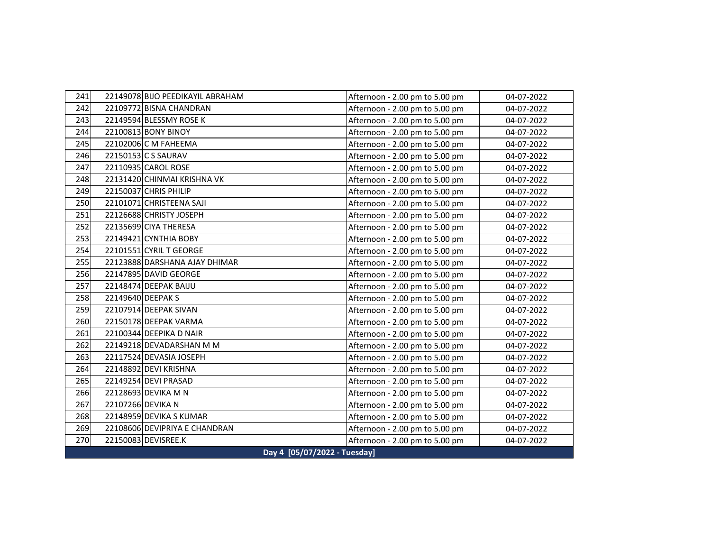| 241 |                              | 22149078 BIJO PEEDIKAYIL ABRAHAM | Afternoon - 2.00 pm to 5.00 pm | 04-07-2022 |  |
|-----|------------------------------|----------------------------------|--------------------------------|------------|--|
| 242 |                              | 22109772 BISNA CHANDRAN          | Afternoon - 2.00 pm to 5.00 pm | 04-07-2022 |  |
| 243 |                              | 22149594 BLESSMY ROSE K          | Afternoon - 2.00 pm to 5.00 pm | 04-07-2022 |  |
| 244 |                              | 22100813 BONY BINOY              | Afternoon - 2.00 pm to 5.00 pm | 04-07-2022 |  |
| 245 |                              | 22102006 C M FAHEEMA             | Afternoon - 2.00 pm to 5.00 pm | 04-07-2022 |  |
| 246 |                              | 22150153 C S SAURAV              | Afternoon - 2.00 pm to 5.00 pm | 04-07-2022 |  |
| 247 |                              | 22110935 CAROL ROSE              | Afternoon - 2.00 pm to 5.00 pm | 04-07-2022 |  |
| 248 |                              | 22131420 CHINMAI KRISHNA VK      | Afternoon - 2.00 pm to 5.00 pm | 04-07-2022 |  |
| 249 |                              | 22150037 CHRIS PHILIP            | Afternoon - 2.00 pm to 5.00 pm | 04-07-2022 |  |
| 250 |                              | 22101071 CHRISTEENA SAJI         | Afternoon - 2.00 pm to 5.00 pm | 04-07-2022 |  |
| 251 |                              | 22126688 CHRISTY JOSEPH          | Afternoon - 2.00 pm to 5.00 pm | 04-07-2022 |  |
| 252 |                              | 22135699 CIYA THERESA            | Afternoon - 2.00 pm to 5.00 pm | 04-07-2022 |  |
| 253 |                              | 22149421 CYNTHIA BOBY            | Afternoon - 2.00 pm to 5.00 pm | 04-07-2022 |  |
| 254 |                              | 22101551 CYRIL T GEORGE          | Afternoon - 2.00 pm to 5.00 pm | 04-07-2022 |  |
| 255 |                              | 22123888 DARSHANA AJAY DHIMAR    | Afternoon - 2.00 pm to 5.00 pm | 04-07-2022 |  |
| 256 |                              | 22147895 DAVID GEORGE            | Afternoon - 2.00 pm to 5.00 pm | 04-07-2022 |  |
| 257 |                              | 22148474 DEEPAK BAIJU            | Afternoon - 2.00 pm to 5.00 pm | 04-07-2022 |  |
| 258 |                              | 22149640 DEEPAK S                | Afternoon - 2.00 pm to 5.00 pm | 04-07-2022 |  |
| 259 |                              | 22107914 DEEPAK SIVAN            | Afternoon - 2.00 pm to 5.00 pm | 04-07-2022 |  |
| 260 |                              | 22150178 DEEPAK VARMA            | Afternoon - 2.00 pm to 5.00 pm | 04-07-2022 |  |
| 261 |                              | 22100344 DEEPIKA D NAIR          | Afternoon - 2.00 pm to 5.00 pm | 04-07-2022 |  |
| 262 |                              | 22149218 DEVADARSHAN M M         | Afternoon - 2.00 pm to 5.00 pm | 04-07-2022 |  |
| 263 |                              | 22117524 DEVASIA JOSEPH          | Afternoon - 2.00 pm to 5.00 pm | 04-07-2022 |  |
| 264 |                              | 22148892 DEVI KRISHNA            | Afternoon - 2.00 pm to 5.00 pm | 04-07-2022 |  |
| 265 |                              | 22149254 DEVI PRASAD             | Afternoon - 2.00 pm to 5.00 pm | 04-07-2022 |  |
| 266 |                              | 22128693 DEVIKA M N              | Afternoon - 2.00 pm to 5.00 pm | 04-07-2022 |  |
| 267 |                              | 22107266 DEVIKA N                | Afternoon - 2.00 pm to 5.00 pm | 04-07-2022 |  |
| 268 |                              | 22148959 DEVIKA S KUMAR          | Afternoon - 2.00 pm to 5.00 pm | 04-07-2022 |  |
| 269 |                              | 22108606 DEVIPRIYA E CHANDRAN    | Afternoon - 2.00 pm to 5.00 pm | 04-07-2022 |  |
| 270 |                              | 22150083 DEVISREE.K              | Afternoon - 2.00 pm to 5.00 pm | 04-07-2022 |  |
|     | Day 4 [05/07/2022 - Tuesday] |                                  |                                |            |  |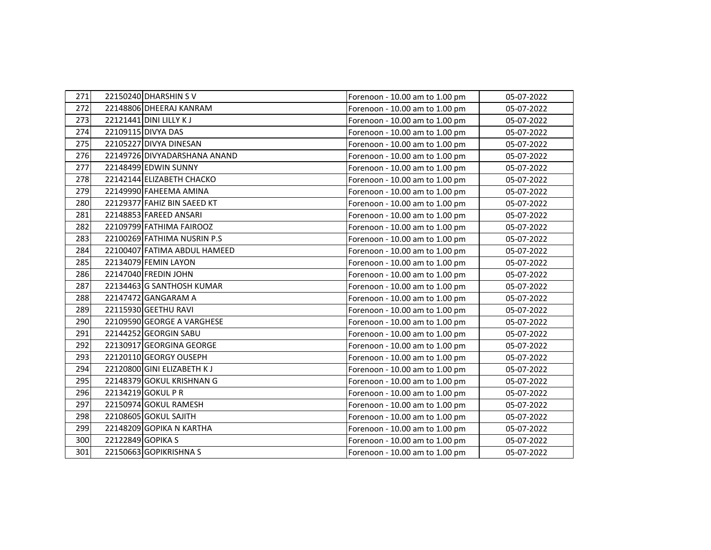| 271 | 22150240 DHARSHIN SV         | Forenoon - 10.00 am to 1.00 pm | 05-07-2022 |
|-----|------------------------------|--------------------------------|------------|
| 272 | 22148806 DHEERAJ KANRAM      | Forenoon - 10.00 am to 1.00 pm | 05-07-2022 |
| 273 | 22121441 DINI LILLY KJ       | Forenoon - 10.00 am to 1.00 pm | 05-07-2022 |
| 274 | 22109115 DIVYA DAS           | Forenoon - 10.00 am to 1.00 pm | 05-07-2022 |
| 275 | 22105227 DIVYA DINESAN       | Forenoon - 10.00 am to 1.00 pm | 05-07-2022 |
| 276 | 22149726 DIVYADARSHANA ANAND | Forenoon - 10.00 am to 1.00 pm | 05-07-2022 |
| 277 | 22148499 EDWIN SUNNY         | Forenoon - 10.00 am to 1.00 pm | 05-07-2022 |
| 278 | 22142144 ELIZABETH CHACKO    | Forenoon - 10.00 am to 1.00 pm | 05-07-2022 |
| 279 | 22149990 FAHEEMA AMINA       | Forenoon - 10.00 am to 1.00 pm | 05-07-2022 |
| 280 | 22129377 FAHIZ BIN SAEED KT  | Forenoon - 10.00 am to 1.00 pm | 05-07-2022 |
| 281 | 22148853 FAREED ANSARI       | Forenoon - 10.00 am to 1.00 pm | 05-07-2022 |
| 282 | 22109799 FATHIMA FAIROOZ     | Forenoon - 10.00 am to 1.00 pm | 05-07-2022 |
| 283 | 22100269 FATHIMA NUSRIN P.S  | Forenoon - 10.00 am to 1.00 pm | 05-07-2022 |
| 284 | 22100407 FATIMA ABDUL HAMEED | Forenoon - 10.00 am to 1.00 pm | 05-07-2022 |
| 285 | 22134079 FEMIN LAYON         | Forenoon - 10.00 am to 1.00 pm | 05-07-2022 |
| 286 | 22147040 FREDIN JOHN         | Forenoon - 10.00 am to 1.00 pm | 05-07-2022 |
| 287 | 22134463 G SANTHOSH KUMAR    | Forenoon - 10.00 am to 1.00 pm | 05-07-2022 |
| 288 | 22147472 GANGARAM A          | Forenoon - 10.00 am to 1.00 pm | 05-07-2022 |
| 289 | 22115930 GEETHU RAVI         | Forenoon - 10.00 am to 1.00 pm | 05-07-2022 |
| 290 | 22109590 GEORGE A VARGHESE   | Forenoon - 10.00 am to 1.00 pm | 05-07-2022 |
| 291 | 22144252 GEORGIN SABU        | Forenoon - 10.00 am to 1.00 pm | 05-07-2022 |
| 292 | 22130917 GEORGINA GEORGE     | Forenoon - 10.00 am to 1.00 pm | 05-07-2022 |
| 293 | 22120110 GEORGY OUSEPH       | Forenoon - 10.00 am to 1.00 pm | 05-07-2022 |
| 294 | 22120800 GINI ELIZABETH KJ   | Forenoon - 10.00 am to 1.00 pm | 05-07-2022 |
| 295 | 22148379 GOKUL KRISHNAN G    | Forenoon - 10.00 am to 1.00 pm | 05-07-2022 |
| 296 | 22134219 GOKUL P R           | Forenoon - 10.00 am to 1.00 pm | 05-07-2022 |
| 297 | 22150974 GOKUL RAMESH        | Forenoon - 10.00 am to 1.00 pm | 05-07-2022 |
| 298 | 22108605 GOKUL SAJITH        | Forenoon - 10.00 am to 1.00 pm | 05-07-2022 |
| 299 | 22148209 GOPIKA N KARTHA     | Forenoon - 10.00 am to 1.00 pm | 05-07-2022 |
| 300 | 22122849 GOPIKA S            | Forenoon - 10.00 am to 1.00 pm | 05-07-2022 |
| 301 | 22150663 GOPIKRISHNA S       | Forenoon - 10.00 am to 1.00 pm | 05-07-2022 |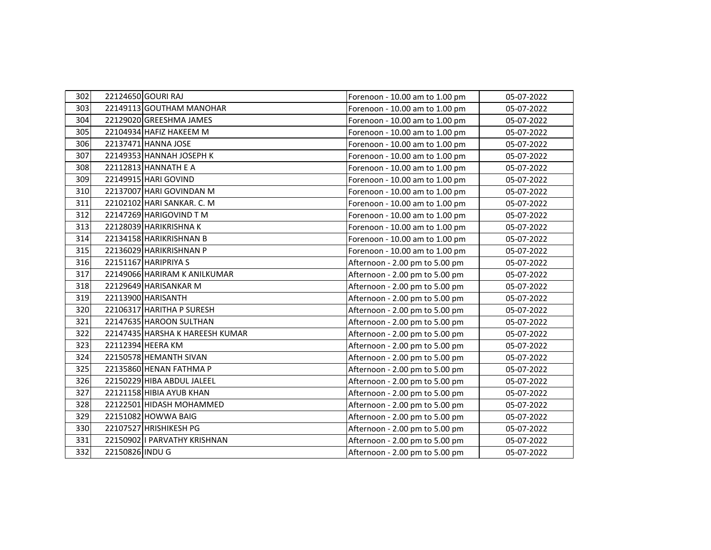| 302 |                 | 22124650 GOURI RAJ              | Forenoon - 10.00 am to 1.00 pm | 05-07-2022 |
|-----|-----------------|---------------------------------|--------------------------------|------------|
| 303 |                 | 22149113 GOUTHAM MANOHAR        | Forenoon - 10.00 am to 1.00 pm | 05-07-2022 |
| 304 |                 | 22129020 GREESHMA JAMES         | Forenoon - 10.00 am to 1.00 pm | 05-07-2022 |
| 305 |                 | 22104934 HAFIZ HAKEEM M         | Forenoon - 10.00 am to 1.00 pm | 05-07-2022 |
| 306 |                 | 22137471 HANNA JOSE             | Forenoon - 10.00 am to 1.00 pm | 05-07-2022 |
| 307 |                 | 22149353 HANNAH JOSEPH K        | Forenoon - 10.00 am to 1.00 pm | 05-07-2022 |
| 308 |                 | 22112813 HANNATH E A            | Forenoon - 10.00 am to 1.00 pm | 05-07-2022 |
| 309 |                 | 22149915 HARI GOVIND            | Forenoon - 10.00 am to 1.00 pm | 05-07-2022 |
| 310 |                 | 22137007 HARI GOVINDAN M        | Forenoon - 10.00 am to 1.00 pm | 05-07-2022 |
| 311 |                 | 22102102 HARI SANKAR. C. M      | Forenoon - 10.00 am to 1.00 pm | 05-07-2022 |
| 312 |                 | 22147269 HARIGOVIND TM          | Forenoon - 10.00 am to 1.00 pm | 05-07-2022 |
| 313 |                 | 22128039 HARIKRISHNAK           | Forenoon - 10.00 am to 1.00 pm | 05-07-2022 |
| 314 |                 | 22134158 HARIKRISHNAN B         | Forenoon - 10.00 am to 1.00 pm | 05-07-2022 |
| 315 |                 | 22136029 HARIKRISHNAN P         | Forenoon - 10.00 am to 1.00 pm | 05-07-2022 |
| 316 |                 | 22151167 HARIPRIYA S            | Afternoon - 2.00 pm to 5.00 pm | 05-07-2022 |
| 317 |                 | 22149066 HARIRAM K ANILKUMAR    | Afternoon - 2.00 pm to 5.00 pm | 05-07-2022 |
| 318 |                 | 22129649 HARISANKAR M           | Afternoon - 2.00 pm to 5.00 pm | 05-07-2022 |
| 319 |                 | 22113900 HARISANTH              | Afternoon - 2.00 pm to 5.00 pm | 05-07-2022 |
| 320 |                 | 22106317 HARITHA P SURESH       | Afternoon - 2.00 pm to 5.00 pm | 05-07-2022 |
| 321 |                 | 22147635 HAROON SULTHAN         | Afternoon - 2.00 pm to 5.00 pm | 05-07-2022 |
| 322 |                 | 22147435 HARSHA K HAREESH KUMAR | Afternoon - 2.00 pm to 5.00 pm | 05-07-2022 |
| 323 |                 | 22112394 HEERA KM               | Afternoon - 2.00 pm to 5.00 pm | 05-07-2022 |
| 324 |                 | 22150578 HEMANTH SIVAN          | Afternoon - 2.00 pm to 5.00 pm | 05-07-2022 |
| 325 |                 | 22135860 HENAN FATHMA P         | Afternoon - 2.00 pm to 5.00 pm | 05-07-2022 |
| 326 |                 | 22150229 HIBA ABDUL JALEEL      | Afternoon - 2.00 pm to 5.00 pm | 05-07-2022 |
| 327 |                 | 22121158 HIBIA AYUB KHAN        | Afternoon - 2.00 pm to 5.00 pm | 05-07-2022 |
| 328 |                 | 22122501 HIDASH MOHAMMED        | Afternoon - 2.00 pm to 5.00 pm | 05-07-2022 |
| 329 |                 | 22151082 HOWWA BAIG             | Afternoon - 2.00 pm to 5.00 pm | 05-07-2022 |
| 330 |                 | 22107527 HRISHIKESH PG          | Afternoon - 2.00 pm to 5.00 pm | 05-07-2022 |
| 331 |                 | 22150902   PARVATHY KRISHNAN    | Afternoon - 2.00 pm to 5.00 pm | 05-07-2022 |
| 332 | 22150826 INDU G |                                 | Afternoon - 2.00 pm to 5.00 pm | 05-07-2022 |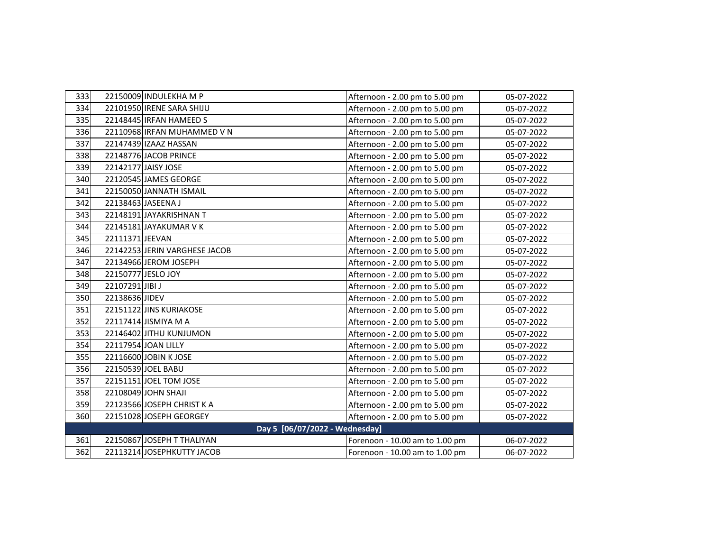| 333                            |                 | 22150009 INDULEKHA M P        | Afternoon - 2.00 pm to 5.00 pm | 05-07-2022 |
|--------------------------------|-----------------|-------------------------------|--------------------------------|------------|
| 334                            |                 | 22101950 IRENE SARA SHIJU     | Afternoon - 2.00 pm to 5.00 pm | 05-07-2022 |
| 335                            |                 | 22148445 IRFAN HAMEED S       | Afternoon - 2.00 pm to 5.00 pm | 05-07-2022 |
| 336                            |                 | 22110968 IRFAN MUHAMMED V N   | Afternoon - 2.00 pm to 5.00 pm | 05-07-2022 |
| 337                            |                 | 22147439 IZAAZ HASSAN         | Afternoon - 2.00 pm to 5.00 pm | 05-07-2022 |
| 338                            |                 | 22148776 JACOB PRINCE         | Afternoon - 2.00 pm to 5.00 pm | 05-07-2022 |
| 339                            |                 | 22142177 JAISY JOSE           | Afternoon - 2.00 pm to 5.00 pm | 05-07-2022 |
| 340                            |                 | 22120545 JAMES GEORGE         | Afternoon - 2.00 pm to 5.00 pm | 05-07-2022 |
| 341                            |                 | 22150050 JANNATH ISMAIL       | Afternoon - 2.00 pm to 5.00 pm | 05-07-2022 |
| 342                            |                 | 22138463 JASEENA J            | Afternoon - 2.00 pm to 5.00 pm | 05-07-2022 |
| 343                            |                 | 22148191 JAYAKRISHNAN T       | Afternoon - 2.00 pm to 5.00 pm | 05-07-2022 |
| 344                            |                 | 22145181 JAYAKUMAR V K        | Afternoon - 2.00 pm to 5.00 pm | 05-07-2022 |
| 345                            | 22111371 JEEVAN |                               | Afternoon - 2.00 pm to 5.00 pm | 05-07-2022 |
| 346                            |                 | 22142253 JERIN VARGHESE JACOB | Afternoon - 2.00 pm to 5.00 pm | 05-07-2022 |
| 347                            |                 | 22134966 JEROM JOSEPH         | Afternoon - 2.00 pm to 5.00 pm | 05-07-2022 |
| 348                            |                 | 22150777 JESLO JOY            | Afternoon - 2.00 pm to 5.00 pm | 05-07-2022 |
| 349                            | 22107291 JIBI J |                               | Afternoon - 2.00 pm to 5.00 pm | 05-07-2022 |
| 350                            | 22138636 JIDEV  |                               | Afternoon - 2.00 pm to 5.00 pm | 05-07-2022 |
| 351                            |                 | 22151122 JINS KURIAKOSE       | Afternoon - 2.00 pm to 5.00 pm | 05-07-2022 |
| 352                            |                 | 22117414 JISMIYA M A          | Afternoon - 2.00 pm to 5.00 pm | 05-07-2022 |
| 353                            |                 | 22146402 JITHU KUNJUMON       | Afternoon - 2.00 pm to 5.00 pm | 05-07-2022 |
| 354                            |                 | 22117954 JOAN LILLY           | Afternoon - 2.00 pm to 5.00 pm | 05-07-2022 |
| 355                            |                 | 22116600 JOBIN K JOSE         | Afternoon - 2.00 pm to 5.00 pm | 05-07-2022 |
| 356                            |                 | 22150539 JOEL BABU            | Afternoon - 2.00 pm to 5.00 pm | 05-07-2022 |
| 357                            |                 | 22151151 JOEL TOM JOSE        | Afternoon - 2.00 pm to 5.00 pm | 05-07-2022 |
| 358                            |                 | 22108049 JOHN SHAJI           | Afternoon - 2.00 pm to 5.00 pm | 05-07-2022 |
| 359                            |                 | 22123566 JOSEPH CHRIST K A    | Afternoon - 2.00 pm to 5.00 pm | 05-07-2022 |
| 360                            |                 | 22151028 JOSEPH GEORGEY       | Afternoon - 2.00 pm to 5.00 pm | 05-07-2022 |
| Day 5 [06/07/2022 - Wednesday] |                 |                               |                                |            |
| 361                            |                 | 22150867 JOSEPH T THALIYAN    | Forenoon - 10.00 am to 1.00 pm | 06-07-2022 |
| 362                            |                 | 22113214 JOSEPHKUTTY JACOB    | Forenoon - 10.00 am to 1.00 pm | 06-07-2022 |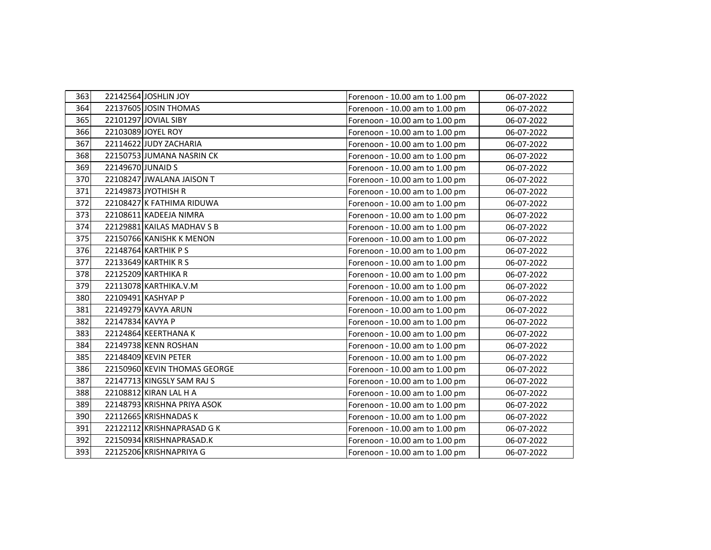| 363 |                   | 22142564 JOSHLIN JOY         | Forenoon - 10.00 am to 1.00 pm | 06-07-2022 |
|-----|-------------------|------------------------------|--------------------------------|------------|
| 364 |                   | 22137605 JOSIN THOMAS        | Forenoon - 10.00 am to 1.00 pm | 06-07-2022 |
| 365 |                   | 22101297 JOVIAL SIBY         | Forenoon - 10.00 am to 1.00 pm | 06-07-2022 |
| 366 |                   | 22103089 JOYEL ROY           | Forenoon - 10.00 am to 1.00 pm | 06-07-2022 |
| 367 |                   | 22114622 JUDY ZACHARIA       | Forenoon - 10.00 am to 1.00 pm | 06-07-2022 |
| 368 |                   | 22150753 JUMANA NASRIN CK    | Forenoon - 10.00 am to 1.00 pm | 06-07-2022 |
| 369 | 22149670 JUNAID S |                              | Forenoon - 10.00 am to 1.00 pm | 06-07-2022 |
| 370 |                   | 22108247 JWALANA JAISON T    | Forenoon - 10.00 am to 1.00 pm | 06-07-2022 |
| 371 |                   | 22149873 JYOTHISH R          | Forenoon - 10.00 am to 1.00 pm | 06-07-2022 |
| 372 |                   | 22108427 K FATHIMA RIDUWA    | Forenoon - 10.00 am to 1.00 pm | 06-07-2022 |
| 373 |                   | 22108611 KADEEJA NIMRA       | Forenoon - 10.00 am to 1.00 pm | 06-07-2022 |
| 374 |                   | 22129881 KAILAS MADHAV S B   | Forenoon - 10.00 am to 1.00 pm | 06-07-2022 |
| 375 |                   | 22150766 KANISHK K MENON     | Forenoon - 10.00 am to 1.00 pm | 06-07-2022 |
| 376 |                   | 22148764 KARTHIK P S         | Forenoon - 10.00 am to 1.00 pm | 06-07-2022 |
| 377 |                   | 22133649 KARTHIK R S         | Forenoon - 10.00 am to 1.00 pm | 06-07-2022 |
| 378 |                   | 22125209 KARTHIKA R          | Forenoon - 10.00 am to 1.00 pm | 06-07-2022 |
| 379 |                   | 22113078 KARTHIKA.V.M        | Forenoon - 10.00 am to 1.00 pm | 06-07-2022 |
| 380 |                   | 22109491 KASHYAP P           | Forenoon - 10.00 am to 1.00 pm | 06-07-2022 |
| 381 |                   | 22149279 KAVYA ARUN          | Forenoon - 10.00 am to 1.00 pm | 06-07-2022 |
| 382 | 22147834 KAVYA P  |                              | Forenoon - 10.00 am to 1.00 pm | 06-07-2022 |
| 383 |                   | 22124864 KEERTHANA K         | Forenoon - 10.00 am to 1.00 pm | 06-07-2022 |
| 384 |                   | 22149738 KENN ROSHAN         | Forenoon - 10.00 am to 1.00 pm | 06-07-2022 |
| 385 |                   | 22148409 KEVIN PETER         | Forenoon - 10.00 am to 1.00 pm | 06-07-2022 |
| 386 |                   | 22150960 KEVIN THOMAS GEORGE | Forenoon - 10.00 am to 1.00 pm | 06-07-2022 |
| 387 |                   | 22147713 KINGSLY SAM RAJ S   | Forenoon - 10.00 am to 1.00 pm | 06-07-2022 |
| 388 |                   | 22108812 KIRAN LAL H A       | Forenoon - 10.00 am to 1.00 pm | 06-07-2022 |
| 389 |                   | 22148793 KRISHNA PRIYA ASOK  | Forenoon - 10.00 am to 1.00 pm | 06-07-2022 |
| 390 |                   | 22112665 KRISHNADAS K        | Forenoon - 10.00 am to 1.00 pm | 06-07-2022 |
| 391 |                   | 22122112 KRISHNAPRASAD G K   | Forenoon - 10.00 am to 1.00 pm | 06-07-2022 |
| 392 |                   | 22150934 KRISHNAPRASAD.K     | Forenoon - 10.00 am to 1.00 pm | 06-07-2022 |
| 393 |                   | 22125206 KRISHNAPRIYA G      | Forenoon - 10.00 am to 1.00 pm | 06-07-2022 |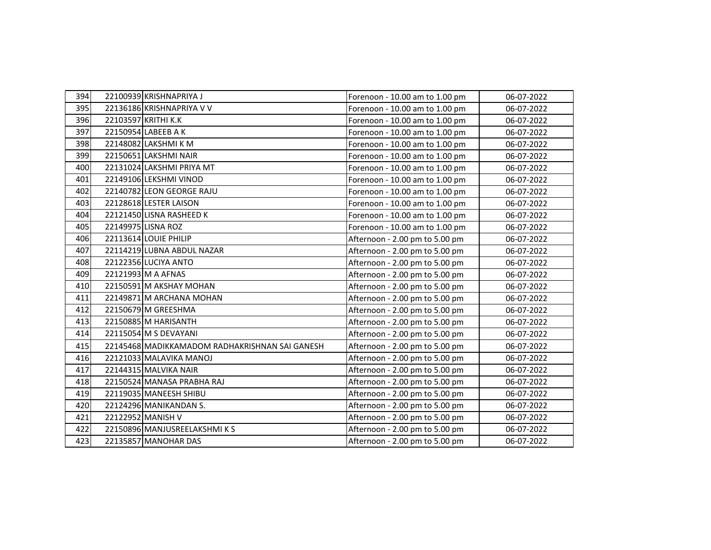| 394 | 22100939 KRISHNAPRIYA J                        | Forenoon - 10.00 am to 1.00 pm | 06-07-2022 |
|-----|------------------------------------------------|--------------------------------|------------|
| 395 | 22136186 KRISHNAPRIYA V V                      | Forenoon - 10.00 am to 1.00 pm | 06-07-2022 |
| 396 | 22103597 KRITHI K.K                            | Forenoon - 10.00 am to 1.00 pm | 06-07-2022 |
| 397 | 22150954 LABEEB A K                            | Forenoon - 10.00 am to 1.00 pm | 06-07-2022 |
| 398 | 22148082 LAKSHMI K M                           | Forenoon - 10.00 am to 1.00 pm | 06-07-2022 |
| 399 | 22150651 LAKSHMI NAIR                          | Forenoon - 10.00 am to 1.00 pm | 06-07-2022 |
| 400 | 22131024 LAKSHMI PRIYA MT                      | Forenoon - 10.00 am to 1.00 pm | 06-07-2022 |
| 401 | 22149106 LEKSHMI VINOD                         | Forenoon - 10.00 am to 1.00 pm | 06-07-2022 |
| 402 | 22140782 LEON GEORGE RAJU                      | Forenoon - 10.00 am to 1.00 pm | 06-07-2022 |
| 403 | 22128618 LESTER LAISON                         | Forenoon - 10.00 am to 1.00 pm | 06-07-2022 |
| 404 | 22121450 LISNA RASHEED K                       | Forenoon - 10.00 am to 1.00 pm | 06-07-2022 |
| 405 | 22149975 LISNA ROZ                             | Forenoon - 10.00 am to 1.00 pm | 06-07-2022 |
| 406 | 22113614 LOUIE PHILIP                          | Afternoon - 2.00 pm to 5.00 pm | 06-07-2022 |
| 407 | 22114219 LUBNA ABDUL NAZAR                     | Afternoon - 2.00 pm to 5.00 pm | 06-07-2022 |
| 408 | 22122356 LUCIYA ANTO                           | Afternoon - 2.00 pm to 5.00 pm | 06-07-2022 |
| 409 | 22121993 M A AFNAS                             | Afternoon - 2.00 pm to 5.00 pm | 06-07-2022 |
| 410 | 22150591 M AKSHAY MOHAN                        | Afternoon - 2.00 pm to 5.00 pm | 06-07-2022 |
| 411 | 22149871 M ARCHANA MOHAN                       | Afternoon - 2.00 pm to 5.00 pm | 06-07-2022 |
| 412 | 22150679 M GREESHMA                            | Afternoon - 2.00 pm to 5.00 pm | 06-07-2022 |
| 413 | 22150885 M HARISANTH                           | Afternoon - 2.00 pm to 5.00 pm | 06-07-2022 |
| 414 | 22115054 M S DEVAYANI                          | Afternoon - 2.00 pm to 5.00 pm | 06-07-2022 |
| 415 | 22145468 MADIKKAMADOM RADHAKRISHNAN SAI GANESH | Afternoon - 2.00 pm to 5.00 pm | 06-07-2022 |
| 416 | 22121033 MALAVIKA MANOJ                        | Afternoon - 2.00 pm to 5.00 pm | 06-07-2022 |
| 417 | 22144315 MALVIKA NAIR                          | Afternoon - 2.00 pm to 5.00 pm | 06-07-2022 |
| 418 | 22150524 MANASA PRABHA RAJ                     | Afternoon - 2.00 pm to 5.00 pm | 06-07-2022 |
| 419 | 22119035 MANEESH SHIBU                         | Afternoon - 2.00 pm to 5.00 pm | 06-07-2022 |
| 420 | 22124296 MANIKANDAN S.                         | Afternoon - 2.00 pm to 5.00 pm | 06-07-2022 |
| 421 | 22122952 MANISH V                              | Afternoon - 2.00 pm to 5.00 pm | 06-07-2022 |
| 422 | 22150896 MANJUSREELAKSHMIKS                    | Afternoon - 2.00 pm to 5.00 pm | 06-07-2022 |
| 423 | 22135857 MANOHAR DAS                           | Afternoon - 2.00 pm to 5.00 pm | 06-07-2022 |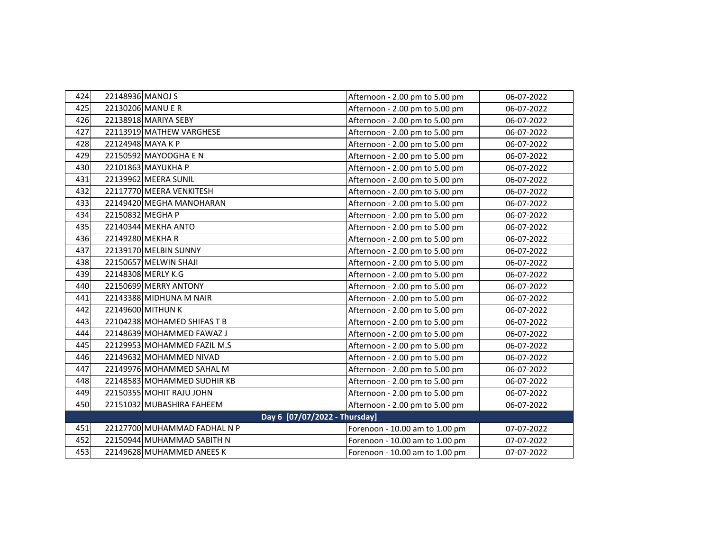| 424 | 22148936 MANOJ S              | Afternoon - 2.00 pm to 5.00 pm | 06-07-2022 |
|-----|-------------------------------|--------------------------------|------------|
| 425 | 22130206 MANU E R             | Afternoon - 2.00 pm to 5.00 pm | 06-07-2022 |
| 426 | 22138918 MARIYA SEBY          | Afternoon - 2.00 pm to 5.00 pm | 06-07-2022 |
| 427 | 22113919 MATHEW VARGHESE      | Afternoon - 2.00 pm to 5.00 pm | 06-07-2022 |
| 428 | 22124948 MAYA K P             | Afternoon - 2.00 pm to 5.00 pm | 06-07-2022 |
| 429 | 22150592 MAYOOGHA E N         | Afternoon - 2.00 pm to 5.00 pm | 06-07-2022 |
| 430 | 22101863 MAYUKHA P            | Afternoon - 2.00 pm to 5.00 pm | 06-07-2022 |
| 431 | 22139962 MEERA SUNIL          | Afternoon - 2.00 pm to 5.00 pm | 06-07-2022 |
| 432 | 22117770 MEERA VENKITESH      | Afternoon - 2.00 pm to 5.00 pm | 06-07-2022 |
| 433 | 22149420 MEGHA MANOHARAN      | Afternoon - 2.00 pm to 5.00 pm | 06-07-2022 |
| 434 | 22150832 MEGHA P              | Afternoon - 2.00 pm to 5.00 pm | 06-07-2022 |
| 435 | 22140344 MEKHA ANTO           | Afternoon - 2.00 pm to 5.00 pm | 06-07-2022 |
| 436 | 22149280 MEKHAR               | Afternoon - 2.00 pm to 5.00 pm | 06-07-2022 |
| 437 | 22139170 MELBIN SUNNY         | Afternoon - 2.00 pm to 5.00 pm | 06-07-2022 |
| 438 | 22150657 MELWIN SHAJI         | Afternoon - 2.00 pm to 5.00 pm | 06-07-2022 |
| 439 | 22148308 MERLY K.G            | Afternoon - 2.00 pm to 5.00 pm | 06-07-2022 |
| 440 | 22150699 MERRY ANTONY         | Afternoon - 2.00 pm to 5.00 pm | 06-07-2022 |
| 441 | 22143388 MIDHUNA M NAIR       | Afternoon - 2.00 pm to 5.00 pm | 06-07-2022 |
| 442 | 22149600 MITHUN K             | Afternoon - 2.00 pm to 5.00 pm | 06-07-2022 |
| 443 | 22104238 MOHAMED SHIFAS T B   | Afternoon - 2.00 pm to 5.00 pm | 06-07-2022 |
| 444 | 22148639 MOHAMMED FAWAZ J     | Afternoon - 2.00 pm to 5.00 pm | 06-07-2022 |
| 445 | 22129953 MOHAMMED FAZIL M.S   | Afternoon - 2.00 pm to 5.00 pm | 06-07-2022 |
| 446 | 22149632 MOHAMMED NIVAD       | Afternoon - 2.00 pm to 5.00 pm | 06-07-2022 |
| 447 | 22149976 MOHAMMED SAHAL M     | Afternoon - 2.00 pm to 5.00 pm | 06-07-2022 |
| 448 | 22148583 MOHAMMED SUDHIR KB   | Afternoon - 2.00 pm to 5.00 pm | 06-07-2022 |
| 449 | 22150355 MOHIT RAJU JOHN      | Afternoon - 2.00 pm to 5.00 pm | 06-07-2022 |
| 450 | 22151032 MUBASHIRA FAHEEM     | Afternoon - 2.00 pm to 5.00 pm | 06-07-2022 |
|     | Day 6 [07/07/2022 - Thursday] |                                |            |
| 451 | 22127700 MUHAMMAD FADHAL N P  | Forenoon - 10.00 am to 1.00 pm | 07-07-2022 |
| 452 | 22150944 MUHAMMAD SABITH N    | Forenoon - 10.00 am to 1.00 pm | 07-07-2022 |
| 453 | 22149628 MUHAMMED ANEES K     | Forenoon - 10.00 am to 1.00 pm | 07-07-2022 |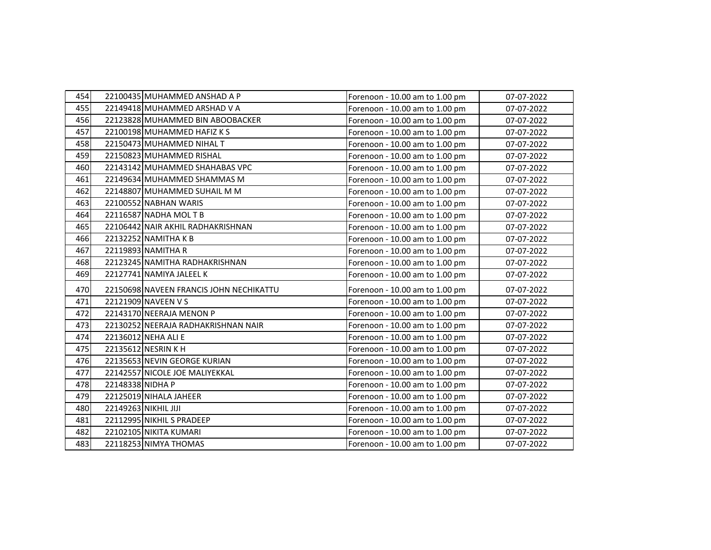| 454 |                  | 22100435 MUHAMMED ANSHAD A P            | Forenoon - 10.00 am to 1.00 pm | 07-07-2022 |
|-----|------------------|-----------------------------------------|--------------------------------|------------|
| 455 |                  | 22149418 MUHAMMED ARSHAD V A            | Forenoon - 10.00 am to 1.00 pm | 07-07-2022 |
| 456 |                  | 22123828 MUHAMMED BIN ABOOBACKER        | Forenoon - 10.00 am to 1.00 pm | 07-07-2022 |
| 457 |                  | 22100198 MUHAMMED HAFIZ K S             | Forenoon - 10.00 am to 1.00 pm | 07-07-2022 |
| 458 |                  | 22150473 MUHAMMED NIHAL T               | Forenoon - 10.00 am to 1.00 pm | 07-07-2022 |
| 459 |                  | 22150823 MUHAMMED RISHAL                | Forenoon - 10.00 am to 1.00 pm | 07-07-2022 |
| 460 |                  | 22143142 MUHAMMED SHAHABAS VPC          | Forenoon - 10.00 am to 1.00 pm | 07-07-2022 |
| 461 |                  | 22149634 MUHAMMED SHAMMAS M             | Forenoon - 10.00 am to 1.00 pm | 07-07-2022 |
| 462 |                  | 22148807 MUHAMMED SUHAIL M M            | Forenoon - 10.00 am to 1.00 pm | 07-07-2022 |
| 463 |                  | 22100552 NABHAN WARIS                   | Forenoon - 10.00 am to 1.00 pm | 07-07-2022 |
| 464 |                  | 22116587 NADHA MOLTB                    | Forenoon - 10.00 am to 1.00 pm | 07-07-2022 |
| 465 |                  | 22106442 NAIR AKHIL RADHAKRISHNAN       | Forenoon - 10.00 am to 1.00 pm | 07-07-2022 |
| 466 |                  | 22132252 NAMITHA K B                    | Forenoon - 10.00 am to 1.00 pm | 07-07-2022 |
| 467 |                  | 22119893 NAMITHA R                      | Forenoon - 10.00 am to 1.00 pm | 07-07-2022 |
| 468 |                  | 22123245 NAMITHA RADHAKRISHNAN          | Forenoon - 10.00 am to 1.00 pm | 07-07-2022 |
| 469 |                  | 22127741 NAMIYA JALEEL K                | Forenoon - 10.00 am to 1.00 pm | 07-07-2022 |
| 470 |                  | 22150698 NAVEEN FRANCIS JOHN NECHIKATTU | Forenoon - 10.00 am to 1.00 pm | 07-07-2022 |
| 471 |                  | 22121909 NAVEEN V S                     | Forenoon - 10.00 am to 1.00 pm | 07-07-2022 |
| 472 |                  | 22143170 NEERAJA MENON P                | Forenoon - 10.00 am to 1.00 pm | 07-07-2022 |
| 473 |                  | 22130252 NEERAJA RADHAKRISHNAN NAIR     | Forenoon - 10.00 am to 1.00 pm | 07-07-2022 |
| 474 |                  | 22136012 NEHA ALI E                     | Forenoon - 10.00 am to 1.00 pm | 07-07-2022 |
| 475 |                  | 22135612 NESRIN K H                     | Forenoon - 10.00 am to 1.00 pm | 07-07-2022 |
| 476 |                  | 22135653 NEVIN GEORGE KURIAN            | Forenoon - 10.00 am to 1.00 pm | 07-07-2022 |
| 477 |                  | 22142557 NICOLE JOE MALIYEKKAL          | Forenoon - 10.00 am to 1.00 pm | 07-07-2022 |
| 478 | 22148338 NIDHA P |                                         | Forenoon - 10.00 am to 1.00 pm | 07-07-2022 |
| 479 |                  | 22125019 NIHALA JAHEER                  | Forenoon - 10.00 am to 1.00 pm | 07-07-2022 |
| 480 |                  | 22149263 NIKHIL JIJI                    | Forenoon - 10.00 am to 1.00 pm | 07-07-2022 |
| 481 |                  | 22112995 NIKHIL S PRADEEP               | Forenoon - 10.00 am to 1.00 pm | 07-07-2022 |
| 482 |                  | 22102105 NIKITA KUMARI                  | Forenoon - 10.00 am to 1.00 pm | 07-07-2022 |
| 483 |                  | 22118253 NIMYA THOMAS                   | Forenoon - 10.00 am to 1.00 pm | 07-07-2022 |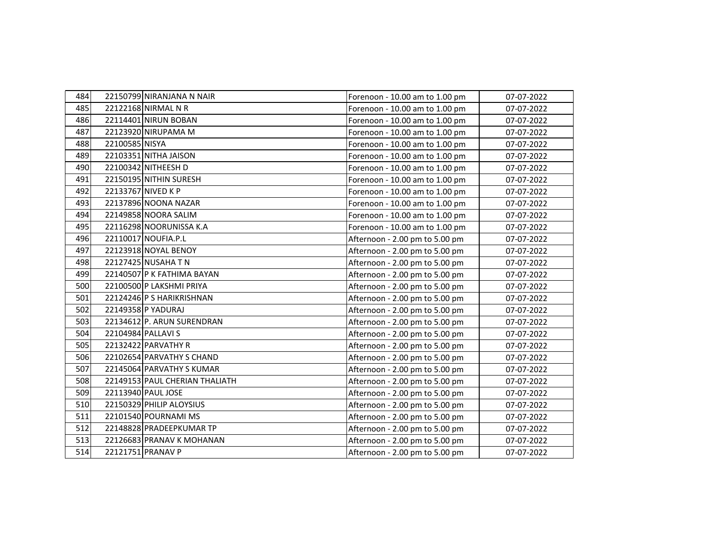| 484 | 22150799 NIRANJANA N NAIR      | Forenoon - 10.00 am to 1.00 pm | 07-07-2022 |
|-----|--------------------------------|--------------------------------|------------|
| 485 | 22122168 NIRMAL N R            | Forenoon - 10.00 am to 1.00 pm | 07-07-2022 |
| 486 | 22114401 NIRUN BOBAN           | Forenoon - 10.00 am to 1.00 pm | 07-07-2022 |
| 487 | 22123920 NIRUPAMA M            | Forenoon - 10.00 am to 1.00 pm | 07-07-2022 |
| 488 | 22100585 NISYA                 | Forenoon - 10.00 am to 1.00 pm | 07-07-2022 |
| 489 | 22103351 NITHA JAISON          | Forenoon - 10.00 am to 1.00 pm | 07-07-2022 |
| 490 | 22100342 NITHEESH D            | Forenoon - 10.00 am to 1.00 pm | 07-07-2022 |
| 491 | 22150195 NITHIN SURESH         | Forenoon - 10.00 am to 1.00 pm | 07-07-2022 |
| 492 | 22133767 NIVED K P             | Forenoon - 10.00 am to 1.00 pm | 07-07-2022 |
| 493 | 22137896 NOONA NAZAR           | Forenoon - 10.00 am to 1.00 pm | 07-07-2022 |
| 494 | 22149858 NOORA SALIM           | Forenoon - 10.00 am to 1.00 pm | 07-07-2022 |
| 495 | 22116298 NOORUNISSA K.A        | Forenoon - 10.00 am to 1.00 pm | 07-07-2022 |
| 496 | 22110017 NOUFIA.P.L            | Afternoon - 2.00 pm to 5.00 pm | 07-07-2022 |
| 497 | 22123918 NOYAL BENOY           | Afternoon - 2.00 pm to 5.00 pm | 07-07-2022 |
| 498 | 22127425 NUSAHA T N            | Afternoon - 2.00 pm to 5.00 pm | 07-07-2022 |
| 499 | 22140507 P K FATHIMA BAYAN     | Afternoon - 2.00 pm to 5.00 pm | 07-07-2022 |
| 500 | 22100500 P LAKSHMI PRIYA       | Afternoon - 2.00 pm to 5.00 pm | 07-07-2022 |
| 501 | 22124246 P S HARIKRISHNAN      | Afternoon - 2.00 pm to 5.00 pm | 07-07-2022 |
| 502 | 22149358 P YADURAJ             | Afternoon - 2.00 pm to 5.00 pm | 07-07-2022 |
| 503 | 22134612 P. ARUN SURENDRAN     | Afternoon - 2.00 pm to 5.00 pm | 07-07-2022 |
| 504 | 22104984 PALLAVI S             | Afternoon - 2.00 pm to 5.00 pm | 07-07-2022 |
| 505 | 22132422 PARVATHY R            | Afternoon - 2.00 pm to 5.00 pm | 07-07-2022 |
| 506 | 22102654 PARVATHY S CHAND      | Afternoon - 2.00 pm to 5.00 pm | 07-07-2022 |
| 507 | 22145064 PARVATHY S KUMAR      | Afternoon - 2.00 pm to 5.00 pm | 07-07-2022 |
| 508 | 22149153 PAUL CHERIAN THALIATH | Afternoon - 2.00 pm to 5.00 pm | 07-07-2022 |
| 509 | 22113940 PAUL JOSE             | Afternoon - 2.00 pm to 5.00 pm | 07-07-2022 |
| 510 | 22150329 PHILIP ALOYSIUS       | Afternoon - 2.00 pm to 5.00 pm | 07-07-2022 |
| 511 | 22101540 POURNAMI MS           | Afternoon - 2.00 pm to 5.00 pm | 07-07-2022 |
| 512 | 22148828 PRADEEPKUMAR TP       | Afternoon - 2.00 pm to 5.00 pm | 07-07-2022 |
| 513 | 22126683 PRANAV K MOHANAN      | Afternoon - 2.00 pm to 5.00 pm | 07-07-2022 |
| 514 | 22121751 PRANAV P              | Afternoon - 2.00 pm to 5.00 pm | 07-07-2022 |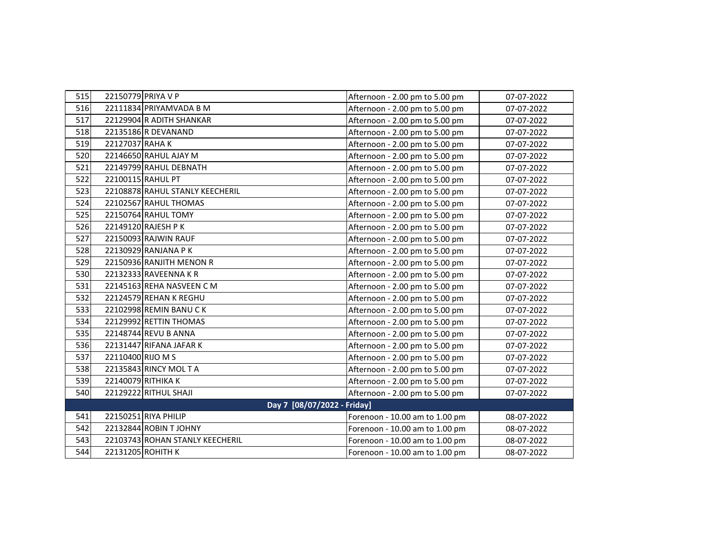| 515        |                   | 22150779 PRIYA V P              | Afternoon - 2.00 pm to 5.00 pm | 07-07-2022 |
|------------|-------------------|---------------------------------|--------------------------------|------------|
| 516        |                   | 22111834 PRIYAMVADA B M         | Afternoon - 2.00 pm to 5.00 pm | 07-07-2022 |
| 517        |                   | 22129904 R ADITH SHANKAR        | Afternoon - 2.00 pm to 5.00 pm | 07-07-2022 |
| 518        |                   | 22135186 R DEVANAND             | Afternoon - 2.00 pm to 5.00 pm | 07-07-2022 |
| 519        | 22127037 RAHA K   |                                 | Afternoon - 2.00 pm to 5.00 pm | 07-07-2022 |
| 520        |                   | 22146650 RAHUL AJAY M           | Afternoon - 2.00 pm to 5.00 pm | 07-07-2022 |
| 521        |                   | 22149799 RAHUL DEBNATH          | Afternoon - 2.00 pm to 5.00 pm | 07-07-2022 |
| 522        |                   | 22100115 RAHUL PT               | Afternoon - 2.00 pm to 5.00 pm | 07-07-2022 |
| 523        |                   | 22108878 RAHUL STANLY KEECHERIL | Afternoon - 2.00 pm to 5.00 pm | 07-07-2022 |
| 524        |                   | 22102567 RAHUL THOMAS           | Afternoon - 2.00 pm to 5.00 pm | 07-07-2022 |
| 525        |                   | 22150764 RAHUL TOMY             | Afternoon - 2.00 pm to 5.00 pm | 07-07-2022 |
| 526        |                   | 22149120 RAJESH P K             | Afternoon - 2.00 pm to 5.00 pm | 07-07-2022 |
| 527        |                   | 22150093 RAJWIN RAUF            | Afternoon - 2.00 pm to 5.00 pm | 07-07-2022 |
| 528        |                   | 22130929 RANJANA P K            | Afternoon - 2.00 pm to 5.00 pm | 07-07-2022 |
| 529        |                   | 22150936 RANJITH MENON R        | Afternoon - 2.00 pm to 5.00 pm | 07-07-2022 |
| 530        |                   | 22132333 RAVEENNA K R           | Afternoon - 2.00 pm to 5.00 pm | 07-07-2022 |
| 531        |                   | 22145163 REHA NASVEEN CM        | Afternoon - 2.00 pm to 5.00 pm | 07-07-2022 |
| 532        |                   | 22124579 REHAN K REGHU          | Afternoon - 2.00 pm to 5.00 pm | 07-07-2022 |
| 533        |                   | 22102998 REMIN BANU CK          | Afternoon - 2.00 pm to 5.00 pm | 07-07-2022 |
| 534        |                   | 22129992 RETTIN THOMAS          | Afternoon - 2.00 pm to 5.00 pm | 07-07-2022 |
| 535        |                   | 22148744 REVU B ANNA            | Afternoon - 2.00 pm to 5.00 pm | 07-07-2022 |
| <b>536</b> |                   | 22131447 RIFANA JAFAR K         | Afternoon - 2.00 pm to 5.00 pm | 07-07-2022 |
| 537        | 22110400 RIJO M S |                                 | Afternoon - 2.00 pm to 5.00 pm | 07-07-2022 |
| 538        |                   | 22135843 RINCY MOL T A          | Afternoon - 2.00 pm to 5.00 pm | 07-07-2022 |
| 539        |                   | 22140079 RITHIKA K              | Afternoon - 2.00 pm to 5.00 pm | 07-07-2022 |
| 540        |                   | 22129222 RITHUL SHAJI           | Afternoon - 2.00 pm to 5.00 pm | 07-07-2022 |
|            |                   | Day 7 [08/07/2022 - Friday]     |                                |            |
| 541        |                   | 22150251 RIYA PHILIP            | Forenoon - 10.00 am to 1.00 pm | 08-07-2022 |
| 542        |                   | 22132844 ROBIN T JOHNY          | Forenoon - 10.00 am to 1.00 pm | 08-07-2022 |
| 543        |                   | 22103743 ROHAN STANLY KEECHERIL | Forenoon - 10.00 am to 1.00 pm | 08-07-2022 |
| 544        |                   | 22131205 ROHITH K               | Forenoon - 10.00 am to 1.00 pm | 08-07-2022 |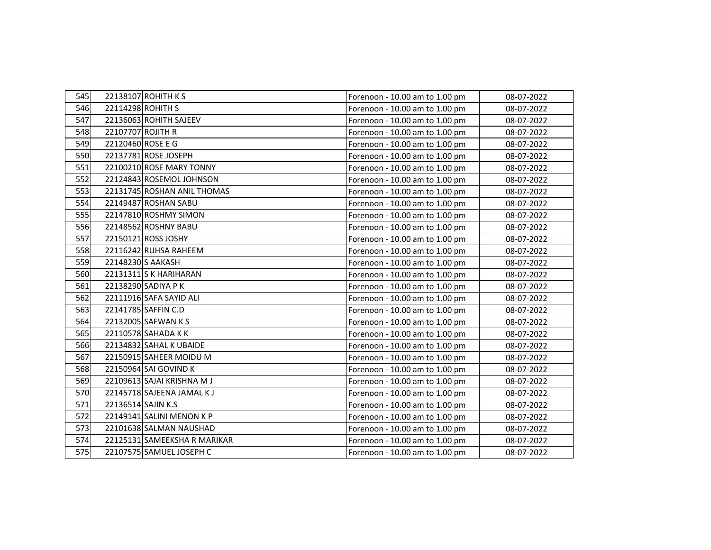| 545 |                    | 22138107 ROHITH K S          | Forenoon - 10.00 am to 1.00 pm | 08-07-2022 |
|-----|--------------------|------------------------------|--------------------------------|------------|
| 546 |                    | 22114298 ROHITH S            | Forenoon - 10.00 am to 1.00 pm | 08-07-2022 |
| 547 |                    | 22136063 ROHITH SAJEEV       | Forenoon - 10.00 am to 1.00 pm | 08-07-2022 |
| 548 | 22107707 ROJITH R  |                              | Forenoon - 10.00 am to 1.00 pm | 08-07-2022 |
| 549 | 22120460 ROSE E G  |                              | Forenoon - 10.00 am to 1.00 pm | 08-07-2022 |
| 550 |                    | 22137781 ROSE JOSEPH         | Forenoon - 10.00 am to 1.00 pm | 08-07-2022 |
| 551 |                    | 22100210 ROSE MARY TONNY     | Forenoon - 10.00 am to 1.00 pm | 08-07-2022 |
| 552 |                    | 22124843 ROSEMOL JOHNSON     | Forenoon - 10.00 am to 1.00 pm | 08-07-2022 |
| 553 |                    | 22131745 ROSHAN ANIL THOMAS  | Forenoon - 10.00 am to 1.00 pm | 08-07-2022 |
| 554 |                    | 22149487 ROSHAN SABU         | Forenoon - 10.00 am to 1.00 pm | 08-07-2022 |
| 555 |                    | 22147810 ROSHMY SIMON        | Forenoon - 10.00 am to 1.00 pm | 08-07-2022 |
| 556 |                    | 22148562 ROSHNY BABU         | Forenoon - 10.00 am to 1.00 pm | 08-07-2022 |
| 557 |                    | 22150121 ROSS JOSHY          | Forenoon - 10.00 am to 1.00 pm | 08-07-2022 |
| 558 |                    | 22116242 RUHSA RAHEEM        | Forenoon - 10.00 am to 1.00 pm | 08-07-2022 |
| 559 |                    | 22148230 S AAKASH            | Forenoon - 10.00 am to 1.00 pm | 08-07-2022 |
| 560 |                    | 22131311 S K HARIHARAN       | Forenoon - 10.00 am to 1.00 pm | 08-07-2022 |
| 561 |                    | 22138290 SADIYA P K          | Forenoon - 10.00 am to 1.00 pm | 08-07-2022 |
| 562 |                    | 22111916 SAFA SAYID ALI      | Forenoon - 10.00 am to 1.00 pm | 08-07-2022 |
| 563 |                    | 22141785 SAFFIN C.D          | Forenoon - 10.00 am to 1.00 pm | 08-07-2022 |
| 564 |                    | 22132005 SAFWAN K S          | Forenoon - 10.00 am to 1.00 pm | 08-07-2022 |
| 565 |                    | 22110578 SAHADA KK           | Forenoon - 10.00 am to 1.00 pm | 08-07-2022 |
| 566 |                    | 22134832 SAHAL K UBAIDE      | Forenoon - 10.00 am to 1.00 pm | 08-07-2022 |
| 567 |                    | 22150915 SAHEER MOIDU M      | Forenoon - 10.00 am to 1.00 pm | 08-07-2022 |
| 568 |                    | 22150964 SAI GOVIND K        | Forenoon - 10.00 am to 1.00 pm | 08-07-2022 |
| 569 |                    | 22109613 SAJAI KRISHNA M J   | Forenoon - 10.00 am to 1.00 pm | 08-07-2022 |
| 570 |                    | 22145718 SAJEENA JAMAL KJ    | Forenoon - 10.00 am to 1.00 pm | 08-07-2022 |
| 571 | 22136514 SAJIN K.S |                              | Forenoon - 10.00 am to 1.00 pm | 08-07-2022 |
| 572 |                    | 22149141 SALINI MENON K P    | Forenoon - 10.00 am to 1.00 pm | 08-07-2022 |
| 573 |                    | 22101638 SALMAN NAUSHAD      | Forenoon - 10.00 am to 1.00 pm | 08-07-2022 |
| 574 |                    | 22125131 SAMEEKSHA R MARIKAR | Forenoon - 10.00 am to 1.00 pm | 08-07-2022 |
| 575 |                    | 22107575 SAMUEL JOSEPH C     | Forenoon - 10.00 am to 1.00 pm | 08-07-2022 |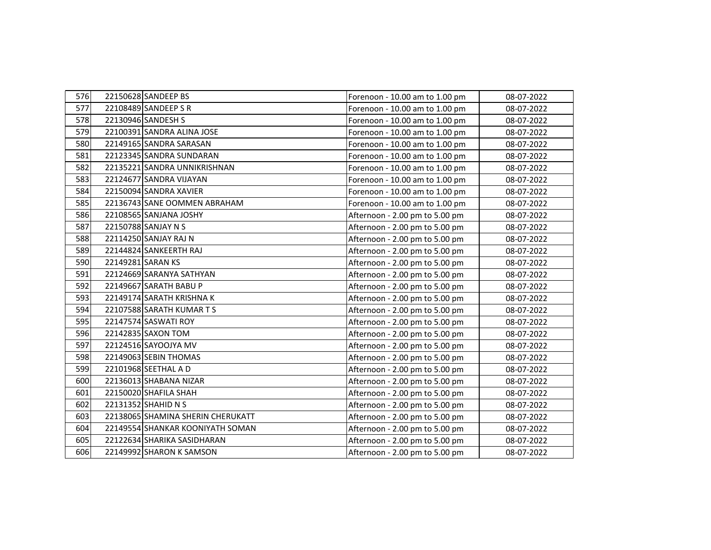| 576 | 22150628 SANDEEP BS               | Forenoon - 10.00 am to 1.00 pm | 08-07-2022 |
|-----|-----------------------------------|--------------------------------|------------|
| 577 | 22108489 SANDEEP S R              | Forenoon - 10.00 am to 1.00 pm | 08-07-2022 |
| 578 | 22130946 SANDESH S                | Forenoon - 10.00 am to 1.00 pm | 08-07-2022 |
| 579 | 22100391 SANDRA ALINA JOSE        | Forenoon - 10.00 am to 1.00 pm | 08-07-2022 |
| 580 | 22149165 SANDRA SARASAN           | Forenoon - 10.00 am to 1.00 pm | 08-07-2022 |
| 581 | 22123345 SANDRA SUNDARAN          | Forenoon - 10.00 am to 1.00 pm | 08-07-2022 |
| 582 | 22135221 SANDRA UNNIKRISHNAN      | Forenoon - 10.00 am to 1.00 pm | 08-07-2022 |
| 583 | 22124677 SANDRA VIJAYAN           | Forenoon - 10.00 am to 1.00 pm | 08-07-2022 |
| 584 | 22150094 SANDRA XAVIER            | Forenoon - 10.00 am to 1.00 pm | 08-07-2022 |
| 585 | 22136743 SANE OOMMEN ABRAHAM      | Forenoon - 10.00 am to 1.00 pm | 08-07-2022 |
| 586 | 22108565 SANJANA JOSHY            | Afternoon - 2.00 pm to 5.00 pm | 08-07-2022 |
| 587 | 22150788 SANJAY N S               | Afternoon - 2.00 pm to 5.00 pm | 08-07-2022 |
| 588 | 22114250 SANJAY RAJ N             | Afternoon - 2.00 pm to 5.00 pm | 08-07-2022 |
| 589 | 22144824 SANKEERTH RAJ            | Afternoon - 2.00 pm to 5.00 pm | 08-07-2022 |
| 590 | 22149281 SARAN KS                 | Afternoon - 2.00 pm to 5.00 pm | 08-07-2022 |
| 591 | 22124669 SARANYA SATHYAN          | Afternoon - 2.00 pm to 5.00 pm | 08-07-2022 |
| 592 | 22149667 SARATH BABU P            | Afternoon - 2.00 pm to 5.00 pm | 08-07-2022 |
| 593 | 22149174 SARATH KRISHNA K         | Afternoon - 2.00 pm to 5.00 pm | 08-07-2022 |
| 594 | 22107588 SARATH KUMAR TS          | Afternoon - 2.00 pm to 5.00 pm | 08-07-2022 |
| 595 | 22147574 SASWATI ROY              | Afternoon - 2.00 pm to 5.00 pm | 08-07-2022 |
| 596 | 22142835 SAXON TOM                | Afternoon - 2.00 pm to 5.00 pm | 08-07-2022 |
| 597 | 22124516 SAYOOJYA MV              | Afternoon - 2.00 pm to 5.00 pm | 08-07-2022 |
| 598 | 22149063 SEBIN THOMAS             | Afternoon - 2.00 pm to 5.00 pm | 08-07-2022 |
| 599 | 22101968 SEETHAL A D              | Afternoon - 2.00 pm to 5.00 pm | 08-07-2022 |
| 600 | 22136013 SHABANA NIZAR            | Afternoon - 2.00 pm to 5.00 pm | 08-07-2022 |
| 601 | 22150020 SHAFILA SHAH             | Afternoon - 2.00 pm to 5.00 pm | 08-07-2022 |
| 602 | 22131352 SHAHID N S               | Afternoon - 2.00 pm to 5.00 pm | 08-07-2022 |
| 603 | 22138065 SHAMINA SHERIN CHERUKATT | Afternoon - 2.00 pm to 5.00 pm | 08-07-2022 |
| 604 | 22149554 SHANKAR KOONIYATH SOMAN  | Afternoon - 2.00 pm to 5.00 pm | 08-07-2022 |
| 605 | 22122634 SHARIKA SASIDHARAN       | Afternoon - 2.00 pm to 5.00 pm | 08-07-2022 |
| 606 | 22149992 SHARON K SAMSON          | Afternoon - 2.00 pm to 5.00 pm | 08-07-2022 |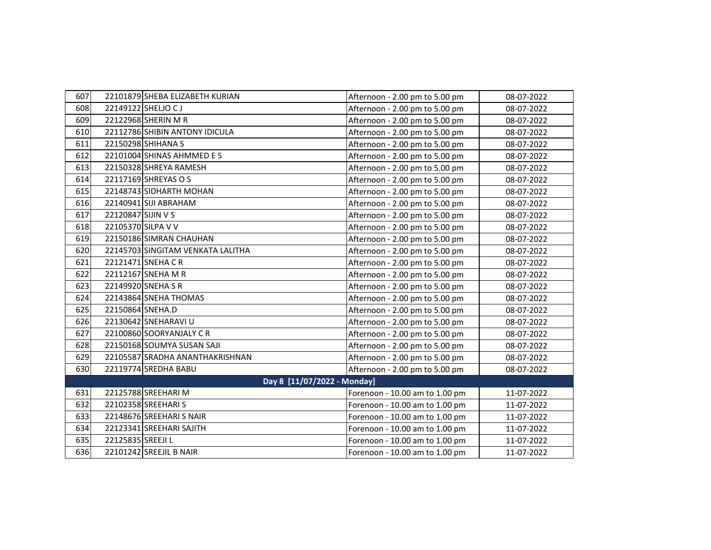| 607 |                    | 22101879 SHEBA ELIZABETH KURIAN   | Afternoon - 2.00 pm to 5.00 pm | 08-07-2022 |
|-----|--------------------|-----------------------------------|--------------------------------|------------|
| 608 |                    | 22149122 SHELJO CJ                | Afternoon - 2.00 pm to 5.00 pm | 08-07-2022 |
| 609 |                    | 22122968 SHERIN M R               | Afternoon - 2.00 pm to 5.00 pm | 08-07-2022 |
| 610 |                    | 22112786 SHIBIN ANTONY IDICULA    | Afternoon - 2.00 pm to 5.00 pm | 08-07-2022 |
| 611 |                    | 22150298 SHIHANA S                | Afternoon - 2.00 pm to 5.00 pm | 08-07-2022 |
| 612 |                    | 22101004 SHINAS AHMMED E S        | Afternoon - 2.00 pm to 5.00 pm | 08-07-2022 |
| 613 |                    | 22150328 SHREYA RAMESH            | Afternoon - 2.00 pm to 5.00 pm | 08-07-2022 |
| 614 |                    | 22117169 SHREYAS O S              | Afternoon - 2.00 pm to 5.00 pm | 08-07-2022 |
| 615 |                    | 22148743 SIDHARTH MOHAN           | Afternoon - 2.00 pm to 5.00 pm | 08-07-2022 |
| 616 |                    | 22140941 SIJI ABRAHAM             | Afternoon - 2.00 pm to 5.00 pm | 08-07-2022 |
| 617 | 22120847 SIJIN V S |                                   | Afternoon - 2.00 pm to 5.00 pm | 08-07-2022 |
| 618 |                    | 22105370 SILPA V V                | Afternoon - 2.00 pm to 5.00 pm | 08-07-2022 |
| 619 |                    | 22150186 SIMRAN CHAUHAN           | Afternoon - 2.00 pm to 5.00 pm | 08-07-2022 |
| 620 |                    | 22145703 SINGITAM VENKATA LALITHA | Afternoon - 2.00 pm to 5.00 pm | 08-07-2022 |
| 621 |                    | 22121471 SNEHA CR                 | Afternoon - 2.00 pm to 5.00 pm | 08-07-2022 |
| 622 |                    | 22112167 SNEHA M R                | Afternoon - 2.00 pm to 5.00 pm | 08-07-2022 |
| 623 |                    | 22149920 SNEHA SR                 | Afternoon - 2.00 pm to 5.00 pm | 08-07-2022 |
| 624 |                    | 22143864 SNEHA THOMAS             | Afternoon - 2.00 pm to 5.00 pm | 08-07-2022 |
| 625 | 22150864 SNEHA.D   |                                   | Afternoon - 2.00 pm to 5.00 pm | 08-07-2022 |
| 626 |                    | 22130642 SNEHARAVI U              | Afternoon - 2.00 pm to 5.00 pm | 08-07-2022 |
| 627 |                    | 22100860 SOORYANJALY CR           | Afternoon - 2.00 pm to 5.00 pm | 08-07-2022 |
| 628 |                    | 22150168 SOUMYA SUSAN SAJI        | Afternoon - 2.00 pm to 5.00 pm | 08-07-2022 |
| 629 |                    | 22105587 SRADHA ANANTHAKRISHNAN   | Afternoon - 2.00 pm to 5.00 pm | 08-07-2022 |
| 630 |                    | 22119774 SREDHA BABU              | Afternoon - 2.00 pm to 5.00 pm | 08-07-2022 |
|     |                    | Day 8 [11/07/2022 - Monday]       |                                |            |
| 631 |                    | 22125788 SREEHARI M               | Forenoon - 10.00 am to 1.00 pm | 11-07-2022 |
| 632 |                    | 22102358 SREEHARI S               | Forenoon - 10.00 am to 1.00 pm | 11-07-2022 |
| 633 |                    | 22148676 SREEHARI S NAIR          | Forenoon - 10.00 am to 1.00 pm | 11-07-2022 |
| 634 |                    | 22123341 SREEHARI SAJITH          | Forenoon - 10.00 am to 1.00 pm | 11-07-2022 |
| 635 | 22125835 SREEJI L  |                                   | Forenoon - 10.00 am to 1.00 pm | 11-07-2022 |
| 636 |                    | 22101242 SREEJIL B NAIR           | Forenoon - 10.00 am to 1.00 pm | 11-07-2022 |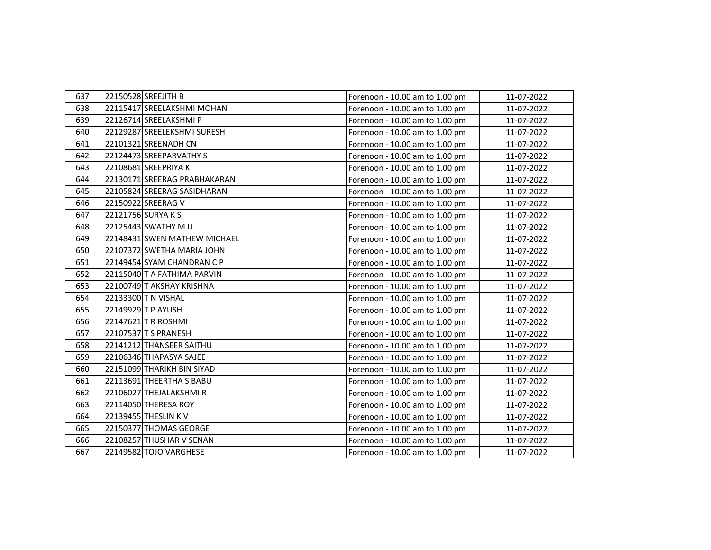| 637 | 22150528 SREEJITH B          | Forenoon - 10.00 am to 1.00 pm | 11-07-2022 |
|-----|------------------------------|--------------------------------|------------|
| 638 | 22115417 SREELAKSHMI MOHAN   | Forenoon - 10.00 am to 1.00 pm | 11-07-2022 |
| 639 | 22126714 SREELAKSHMIP        | Forenoon - 10.00 am to 1.00 pm | 11-07-2022 |
| 640 | 22129287 SREELEKSHMI SURESH  | Forenoon - 10.00 am to 1.00 pm | 11-07-2022 |
| 641 | 22101321 SREENADH CN         | Forenoon - 10.00 am to 1.00 pm | 11-07-2022 |
| 642 | 22124473 SREEPARVATHY S      | Forenoon - 10.00 am to 1.00 pm | 11-07-2022 |
| 643 | 22108681 SREEPRIYA K         | Forenoon - 10.00 am to 1.00 pm | 11-07-2022 |
| 644 | 22130171 SREERAG PRABHAKARAN | Forenoon - 10.00 am to 1.00 pm | 11-07-2022 |
| 645 | 22105824 SREERAG SASIDHARAN  | Forenoon - 10.00 am to 1.00 pm | 11-07-2022 |
| 646 | 22150922 SREERAG V           | Forenoon - 10.00 am to 1.00 pm | 11-07-2022 |
| 647 | 22121756 SURYA K S           | Forenoon - 10.00 am to 1.00 pm | 11-07-2022 |
| 648 | 22125443 SWATHY M U          | Forenoon - 10.00 am to 1.00 pm | 11-07-2022 |
| 649 | 22148431 SWEN MATHEW MICHAEL | Forenoon - 10.00 am to 1.00 pm | 11-07-2022 |
| 650 | 22107372 SWETHA MARIA JOHN   | Forenoon - 10.00 am to 1.00 pm | 11-07-2022 |
| 651 | 22149454 SYAM CHANDRAN C P   | Forenoon - 10.00 am to 1.00 pm | 11-07-2022 |
| 652 | 22115040 T A FATHIMA PARVIN  | Forenoon - 10.00 am to 1.00 pm | 11-07-2022 |
| 653 | 22100749 T AKSHAY KRISHNA    | Forenoon - 10.00 am to 1.00 pm | 11-07-2022 |
| 654 | 22133300 T N VISHAL          | Forenoon - 10.00 am to 1.00 pm | 11-07-2022 |
| 655 | 22149929 T P AYUSH           | Forenoon - 10.00 am to 1.00 pm | 11-07-2022 |
| 656 | 22147621 TR ROSHMI           | Forenoon - 10.00 am to 1.00 pm | 11-07-2022 |
| 657 | 22107537 T S PRANESH         | Forenoon - 10.00 am to 1.00 pm | 11-07-2022 |
| 658 | 22141212 THANSEER SAITHU     | Forenoon - 10.00 am to 1.00 pm | 11-07-2022 |
| 659 | 22106346 THAPASYA SAJEE      | Forenoon - 10.00 am to 1.00 pm | 11-07-2022 |
| 660 | 22151099 THARIKH BIN SIYAD   | Forenoon - 10.00 am to 1.00 pm | 11-07-2022 |
| 661 | 22113691 THEERTHA S BABU     | Forenoon - 10.00 am to 1.00 pm | 11-07-2022 |
| 662 | 22106027 THEJALAKSHMIR       | Forenoon - 10.00 am to 1.00 pm | 11-07-2022 |
| 663 | 22114050 THERESA ROY         | Forenoon - 10.00 am to 1.00 pm | 11-07-2022 |
| 664 | 22139455 THESLIN K V         | Forenoon - 10.00 am to 1.00 pm | 11-07-2022 |
| 665 | 22150377 THOMAS GEORGE       | Forenoon - 10.00 am to 1.00 pm | 11-07-2022 |
| 666 | 22108257 THUSHAR V SENAN     | Forenoon - 10.00 am to 1.00 pm | 11-07-2022 |
| 667 | 22149582 TOJO VARGHESE       | Forenoon - 10.00 am to 1.00 pm | 11-07-2022 |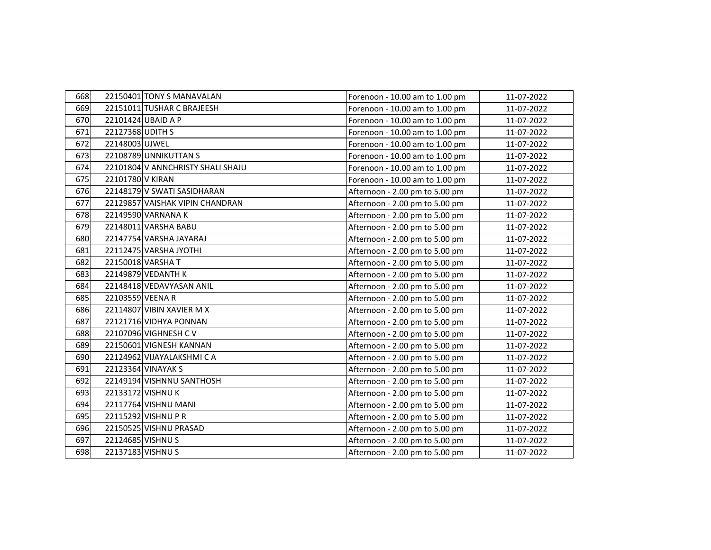| 668 |                  | 22150401 TONY S MANAVALAN         | Forenoon - 10.00 am to 1.00 pm | 11-07-2022 |
|-----|------------------|-----------------------------------|--------------------------------|------------|
| 669 |                  | 22151011 TUSHAR C BRAJEESH        | Forenoon - 10.00 am to 1.00 pm | 11-07-2022 |
| 670 |                  | 22101424 UBAID A P                | Forenoon - 10.00 am to 1.00 pm | 11-07-2022 |
| 671 | 22127368 UDITH S |                                   | Forenoon - 10.00 am to 1.00 pm | 11-07-2022 |
| 672 | 22148003 UJWEL   |                                   | Forenoon - 10.00 am to 1.00 pm | 11-07-2022 |
| 673 |                  | 22108789 UNNIKUTTAN S             | Forenoon - 10.00 am to 1.00 pm | 11-07-2022 |
| 674 |                  | 22101804 V ANNCHRISTY SHALI SHAJU | Forenoon - 10.00 am to 1.00 pm | 11-07-2022 |
| 675 | 22101780 V KIRAN |                                   | Forenoon - 10.00 am to 1.00 pm | 11-07-2022 |
| 676 |                  | 22148179 V SWATI SASIDHARAN       | Afternoon - 2.00 pm to 5.00 pm | 11-07-2022 |
| 677 |                  | 22129857 VAISHAK VIPIN CHANDRAN   | Afternoon - 2.00 pm to 5.00 pm | 11-07-2022 |
| 678 |                  | 22149590 VARNANA K                | Afternoon - 2.00 pm to 5.00 pm | 11-07-2022 |
| 679 |                  | 22148011 VARSHA BABU              | Afternoon - 2.00 pm to 5.00 pm | 11-07-2022 |
| 680 |                  | 22147754 VARSHA JAYARAJ           | Afternoon - 2.00 pm to 5.00 pm | 11-07-2022 |
| 681 |                  | 22112475 VARSHA JYOTHI            | Afternoon - 2.00 pm to 5.00 pm | 11-07-2022 |
| 682 |                  | 22150018 VARSHA T                 | Afternoon - 2.00 pm to 5.00 pm | 11-07-2022 |
| 683 |                  | 22149879 VEDANTH K                | Afternoon - 2.00 pm to 5.00 pm | 11-07-2022 |
| 684 |                  | 22148418 VEDAVYASAN ANIL          | Afternoon - 2.00 pm to 5.00 pm | 11-07-2022 |
| 685 | 22103559 VEENA R |                                   | Afternoon - 2.00 pm to 5.00 pm | 11-07-2022 |
| 686 |                  | 22114807 VIBIN XAVIER M X         | Afternoon - 2.00 pm to 5.00 pm | 11-07-2022 |
| 687 |                  | 22121716 VIDHYA PONNAN            | Afternoon - 2.00 pm to 5.00 pm | 11-07-2022 |
| 688 |                  | 22107096 VIGHNESH C V             | Afternoon - 2.00 pm to 5.00 pm | 11-07-2022 |
| 689 |                  | 22150601 VIGNESH KANNAN           | Afternoon - 2.00 pm to 5.00 pm | 11-07-2022 |
| 690 |                  | 22124962 VIJAYALAKSHMI CA         | Afternoon - 2.00 pm to 5.00 pm | 11-07-2022 |
| 691 |                  | 22123364 VINAYAK S                | Afternoon - 2.00 pm to 5.00 pm | 11-07-2022 |
| 692 |                  | 22149194 VISHNNU SANTHOSH         | Afternoon - 2.00 pm to 5.00 pm | 11-07-2022 |
| 693 |                  | 22133172 VISHNU K                 | Afternoon - 2.00 pm to 5.00 pm | 11-07-2022 |
| 694 |                  | 22117764 VISHNU MANI              | Afternoon - 2.00 pm to 5.00 pm | 11-07-2022 |
| 695 |                  | 22115292 VISHNU P R               | Afternoon - 2.00 pm to 5.00 pm | 11-07-2022 |
| 696 |                  | 22150525 VISHNU PRASAD            | Afternoon - 2.00 pm to 5.00 pm | 11-07-2022 |
| 697 |                  | 22124685 VISHNU S                 | Afternoon - 2.00 pm to 5.00 pm | 11-07-2022 |
| 698 |                  | 22137183 VISHNU S                 | Afternoon - 2.00 pm to 5.00 pm | 11-07-2022 |